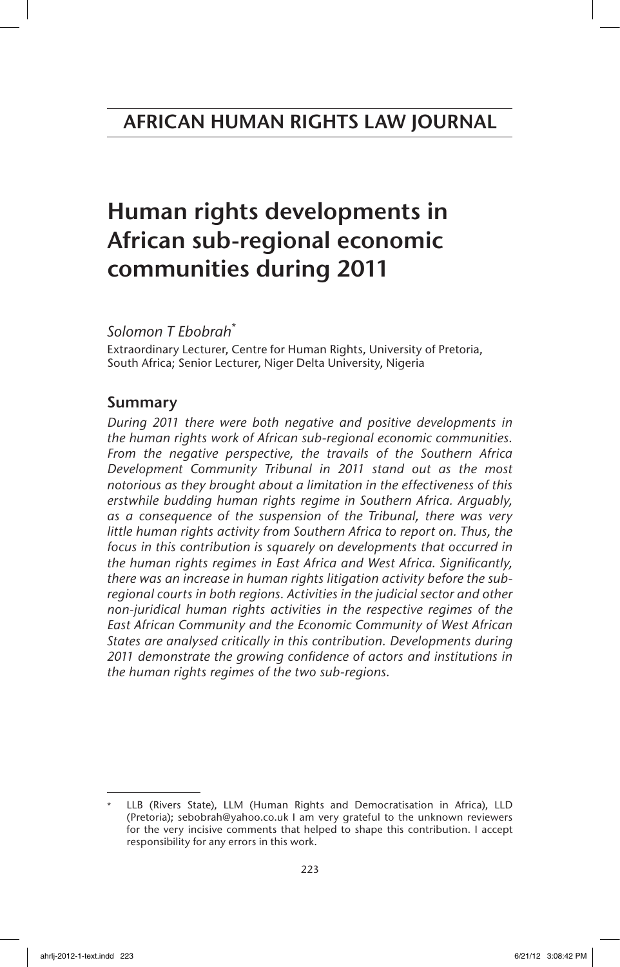# Human rights developments in African sub-regional economic communities during 2011

*Solomon T Ebobrah*\*

Extraordinary Lecturer, Centre for Human Rights, University of Pretoria, South Africa; Senior Lecturer, Niger Delta University, Nigeria

# Summary

*During 2011 there were both negative and positive developments in the human rights work of African sub-regional economic communities. From the negative perspective, the travails of the Southern Africa Development Community Tribunal in 2011 stand out as the most notorious as they brought about a limitation in the effectiveness of this erstwhile budding human rights regime in Southern Africa. Arguably, as a consequence of the suspension of the Tribunal, there was very little human rights activity from Southern Africa to report on. Thus, the focus in this contribution is squarely on developments that occurred in the human rights regimes in East Africa and West Africa. Significantly, there was an increase in human rights litigation activity before the subregional courts in both regions. Activities in the judicial sector and other non-juridical human rights activities in the respective regimes of the East African Community and the Economic Community of West African States are analysed critically in this contribution. Developments during 2011 demonstrate the growing confidence of actors and institutions in the human rights regimes of the two sub-regions.*

LLB (Rivers State), LLM (Human Rights and Democratisation in Africa), LLD (Pretoria); sebobrah@yahoo.co.uk I am very grateful to the unknown reviewers for the very incisive comments that helped to shape this contribution. I accept responsibility for any errors in this work.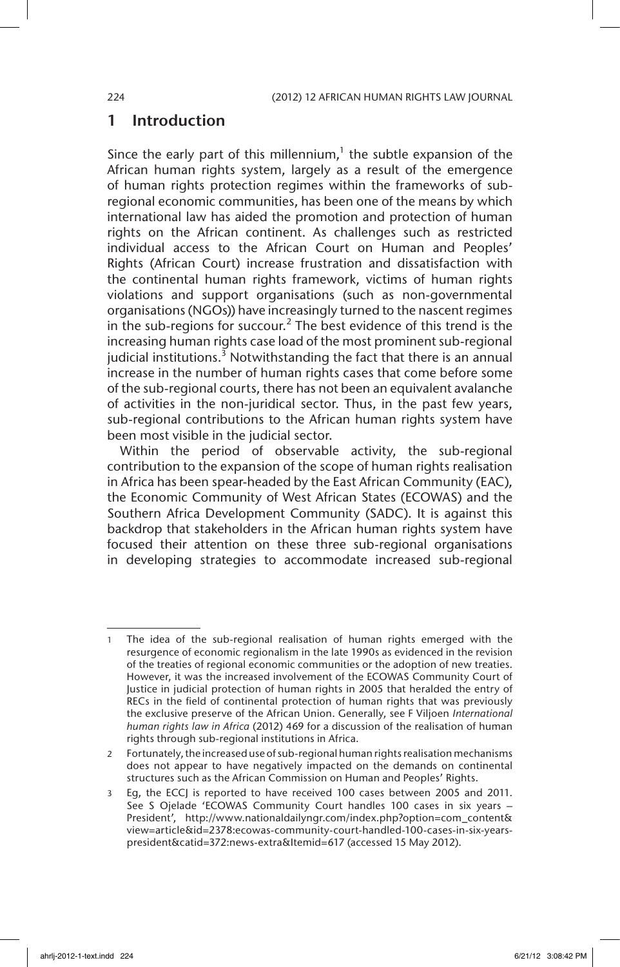# 1 Introduction

Since the early part of this millennium, $1$  the subtle expansion of the African human rights system, largely as a result of the emergence of human rights protection regimes within the frameworks of subregional economic communities, has been one of the means by which international law has aided the promotion and protection of human rights on the African continent. As challenges such as restricted individual access to the African Court on Human and Peoples' Rights (African Court) increase frustration and dissatisfaction with the continental human rights framework, victims of human rights violations and support organisations (such as non-governmental organisations (NGOs)) have increasingly turned to the nascent regimes in the sub-regions for succour.<sup>2</sup> The best evidence of this trend is the increasing human rights case load of the most prominent sub-regional judicial institutions.<sup>3</sup> Notwithstanding the fact that there is an annual increase in the number of human rights cases that come before some of the sub-regional courts, there has not been an equivalent avalanche of activities in the non-juridical sector. Thus, in the past few years, sub-regional contributions to the African human rights system have been most visible in the judicial sector.

Within the period of observable activity, the sub-regional contribution to the expansion of the scope of human rights realisation in Africa has been spear-headed by the East African Community (EAC), the Economic Community of West African States (ECOWAS) and the Southern Africa Development Community (SADC). It is against this backdrop that stakeholders in the African human rights system have focused their attention on these three sub-regional organisations in developing strategies to accommodate increased sub-regional

The idea of the sub-regional realisation of human rights emerged with the resurgence of economic regionalism in the late 1990s as evidenced in the revision of the treaties of regional economic communities or the adoption of new treaties. However, it was the increased involvement of the ECOWAS Community Court of Justice in judicial protection of human rights in 2005 that heralded the entry of RECs in the field of continental protection of human rights that was previously the exclusive preserve of the African Union. Generally, see F Viljoen *International human rights law in Africa* (2012) 469 for a discussion of the realisation of human rights through sub-regional institutions in Africa.

<sup>2</sup> Fortunately, the increased use of sub-regional human rights realisation mechanisms does not appear to have negatively impacted on the demands on continental structures such as the African Commission on Human and Peoples' Rights.

<sup>3</sup> Eg, the ECCJ is reported to have received 100 cases between 2005 and 2011. See S Ojelade 'ECOWAS Community Court handles 100 cases in six years – President', http://www.nationaldailyngr.com/index.php?option=com\_content& view=article&id=2378:ecowas-community-court-handled-100-cases-in-six-yearspresident&catid=372:news-extra&Itemid=617 (accessed 15 May 2012).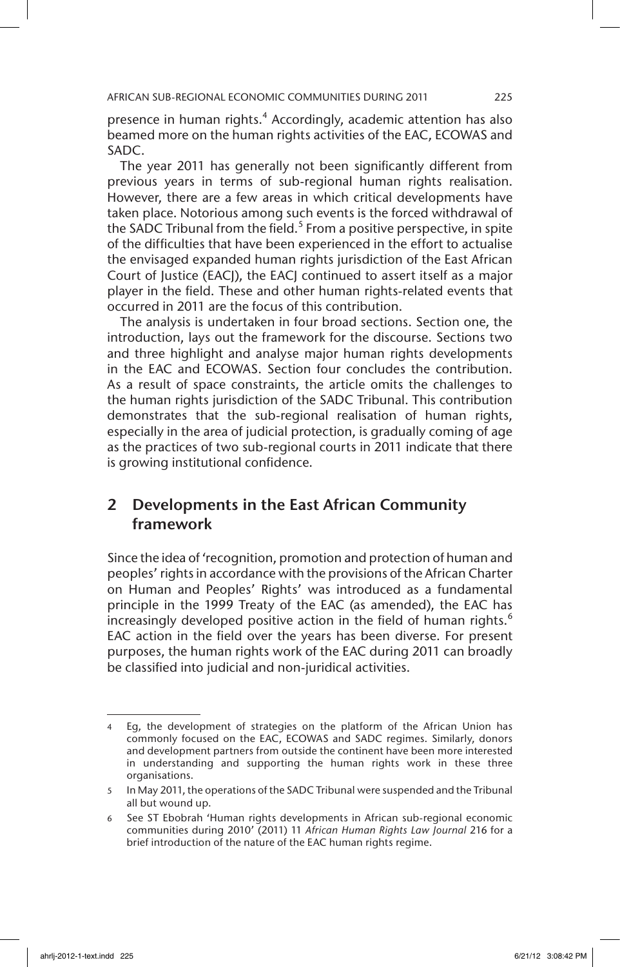presence in human rights.<sup>4</sup> Accordingly, academic attention has also beamed more on the human rights activities of the EAC, ECOWAS and SADC.

The year 2011 has generally not been significantly different from previous years in terms of sub-regional human rights realisation. However, there are a few areas in which critical developments have taken place. Notorious among such events is the forced withdrawal of the SADC Tribunal from the field.<sup>5</sup> From a positive perspective, in spite of the difficulties that have been experienced in the effort to actualise the envisaged expanded human rights jurisdiction of the East African Court of Justice (EACJ), the EACJ continued to assert itself as a major player in the field. These and other human rights-related events that occurred in 2011 are the focus of this contribution.

The analysis is undertaken in four broad sections. Section one, the introduction, lays out the framework for the discourse. Sections two and three highlight and analyse major human rights developments in the EAC and ECOWAS. Section four concludes the contribution. As a result of space constraints, the article omits the challenges to the human rights jurisdiction of the SADC Tribunal. This contribution demonstrates that the sub-regional realisation of human rights, especially in the area of judicial protection, is gradually coming of age as the practices of two sub-regional courts in 2011 indicate that there is growing institutional confidence.

# 2 Developments in the East African Community framework

Since the idea of 'recognition, promotion and protection of human and peoples' rights in accordance with the provisions of the African Charter on Human and Peoples' Rights' was introduced as a fundamental principle in the 1999 Treaty of the EAC (as amended), the EAC has increasingly developed positive action in the field of human rights. $<sup>6</sup>$ </sup> EAC action in the field over the years has been diverse. For present purposes, the human rights work of the EAC during 2011 can broadly be classified into judicial and non-juridical activities.

<sup>4</sup> Eg, the development of strategies on the platform of the African Union has commonly focused on the EAC, ECOWAS and SADC regimes. Similarly, donors and development partners from outside the continent have been more interested in understanding and supporting the human rights work in these three organisations.

<sup>5</sup> In May 2011, the operations of the SADC Tribunal were suspended and the Tribunal all but wound up.

<sup>6</sup> See ST Ebobrah 'Human rights developments in African sub-regional economic communities during 2010' (2011) 11 *African Human Rights Law Journal* 216 for a brief introduction of the nature of the EAC human rights regime.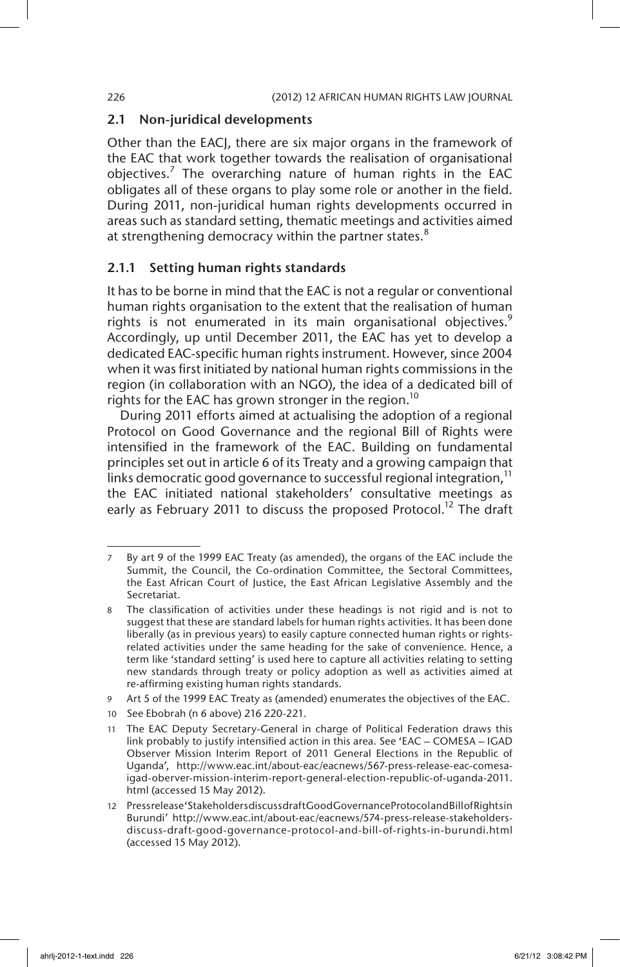#### 2.1 Non-juridical developments

Other than the EACJ, there are six major organs in the framework of the EAC that work together towards the realisation of organisational objectives.<sup>7</sup> The overarching nature of human rights in the EAC obligates all of these organs to play some role or another in the field. During 2011, non-juridical human rights developments occurred in areas such as standard setting, thematic meetings and activities aimed at strengthening democracy within the partner states. $8$ 

### 2.1.1 Setting human rights standards

It has to be borne in mind that the EAC is not a regular or conventional human rights organisation to the extent that the realisation of human rights is not enumerated in its main organisational objectives.<sup>9</sup> Accordingly, up until December 2011, the EAC has yet to develop a dedicated EAC-specific human rights instrument. However, since 2004 when it was first initiated by national human rights commissions in the region (in collaboration with an NGO), the idea of a dedicated bill of rights for the EAC has grown stronger in the region.<sup>10</sup>

During 2011 efforts aimed at actualising the adoption of a regional Protocol on Good Governance and the regional Bill of Rights were intensified in the framework of the EAC. Building on fundamental principles set out in article 6 of its Treaty and a growing campaign that links democratic good governance to successful regional integration, $<sup>11</sup>$ </sup> the EAC initiated national stakeholders' consultative meetings as early as February 2011 to discuss the proposed Protocol.<sup>12</sup> The draft

- 9 Art 5 of the 1999 EAC Treaty as (amended) enumerates the objectives of the EAC.
- 10 See Ebobrah (n 6 above) 216 220-221.

<sup>7</sup> By art 9 of the 1999 EAC Treaty (as amended), the organs of the EAC include the Summit, the Council, the Co-ordination Committee, the Sectoral Committees, the East African Court of Justice, the East African Legislative Assembly and the Secretariat.

<sup>8</sup> The classification of activities under these headings is not rigid and is not to suggest that these are standard labels for human rights activities. It has been done liberally (as in previous years) to easily capture connected human rights or rightsrelated activities under the same heading for the sake of convenience. Hence, a term like 'standard setting' is used here to capture all activities relating to setting new standards through treaty or policy adoption as well as activities aimed at re-affirming existing human rights standards.

<sup>11</sup> The EAC Deputy Secretary-General in charge of Political Federation draws this link probably to justify intensified action in this area. See 'EAC – COMESA – IGAD Observer Mission Interim Report of 2011 General Elections in the Republic of Uganda', http://www.eac.int/about-eac/eacnews/567-press-release-eac-comesaigad-oberver-mission-interim-report-general-election-republic-of-uganda-2011. html (accessed 15 May 2012).

<sup>12</sup> Press release 'Stakeholders discuss draft Good Governance Protocol and Bill of Rights in Burundi' http://www.eac.int/about-eac/eacnews/574-press-release-stakeholdersdiscuss-draft-good-governance-protocol-and-bill-of-rights-in-burundi.html (accessed 15 May 2012).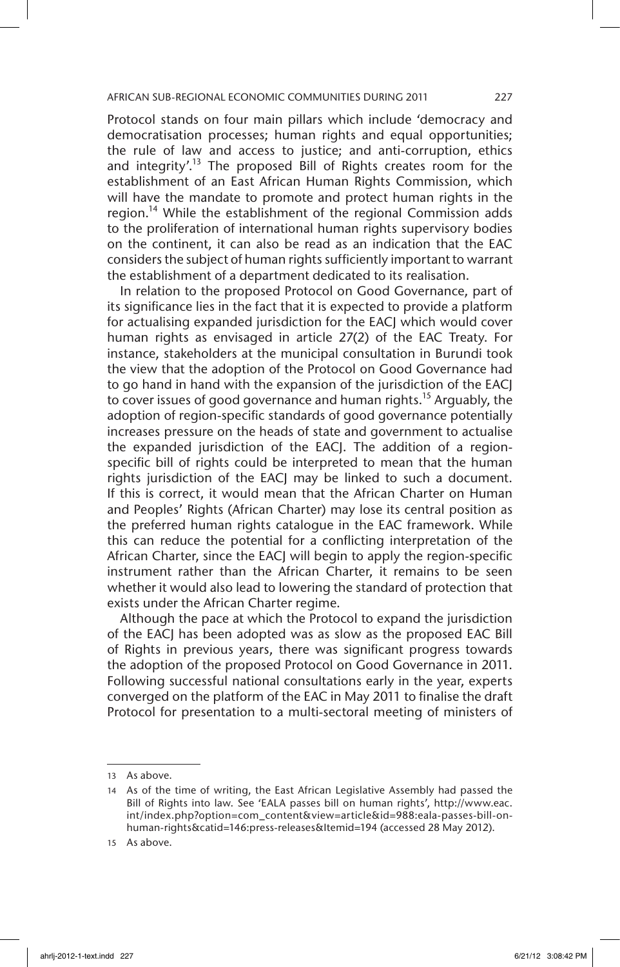Protocol stands on four main pillars which include 'democracy and democratisation processes; human rights and equal opportunities; the rule of law and access to justice; and anti-corruption, ethics and integrity'.<sup>13</sup> The proposed Bill of Rights creates room for the establishment of an East African Human Rights Commission, which will have the mandate to promote and protect human rights in the region.<sup>14</sup> While the establishment of the regional Commission adds to the proliferation of international human rights supervisory bodies on the continent, it can also be read as an indication that the EAC considers the subject of human rights sufficiently important to warrant the establishment of a department dedicated to its realisation.

In relation to the proposed Protocol on Good Governance, part of its significance lies in the fact that it is expected to provide a platform for actualising expanded jurisdiction for the EACJ which would cover human rights as envisaged in article 27(2) of the EAC Treaty. For instance, stakeholders at the municipal consultation in Burundi took the view that the adoption of the Protocol on Good Governance had to go hand in hand with the expansion of the jurisdiction of the EACJ to cover issues of good governance and human rights.<sup>15</sup> Arguably, the adoption of region-specific standards of good governance potentially increases pressure on the heads of state and government to actualise the expanded jurisdiction of the EACJ. The addition of a regionspecific bill of rights could be interpreted to mean that the human rights jurisdiction of the EACJ may be linked to such a document. If this is correct, it would mean that the African Charter on Human and Peoples' Rights (African Charter) may lose its central position as the preferred human rights catalogue in the EAC framework. While this can reduce the potential for a conflicting interpretation of the African Charter, since the EACJ will begin to apply the region-specific instrument rather than the African Charter, it remains to be seen whether it would also lead to lowering the standard of protection that exists under the African Charter regime.

Although the pace at which the Protocol to expand the jurisdiction of the EACJ has been adopted was as slow as the proposed EAC Bill of Rights in previous years, there was significant progress towards the adoption of the proposed Protocol on Good Governance in 2011. Following successful national consultations early in the year, experts converged on the platform of the EAC in May 2011 to finalise the draft Protocol for presentation to a multi-sectoral meeting of ministers of

<sup>13</sup> As above.

<sup>14</sup> As of the time of writing, the East African Legislative Assembly had passed the Bill of Rights into law. See 'EALA passes bill on human rights', http://www.eac. int/index.php?option=com\_content&view=article&id=988:eala-passes-bill-onhuman-rights&catid=146:press-releases&Itemid=194 (accessed 28 May 2012).

<sup>15</sup> As above.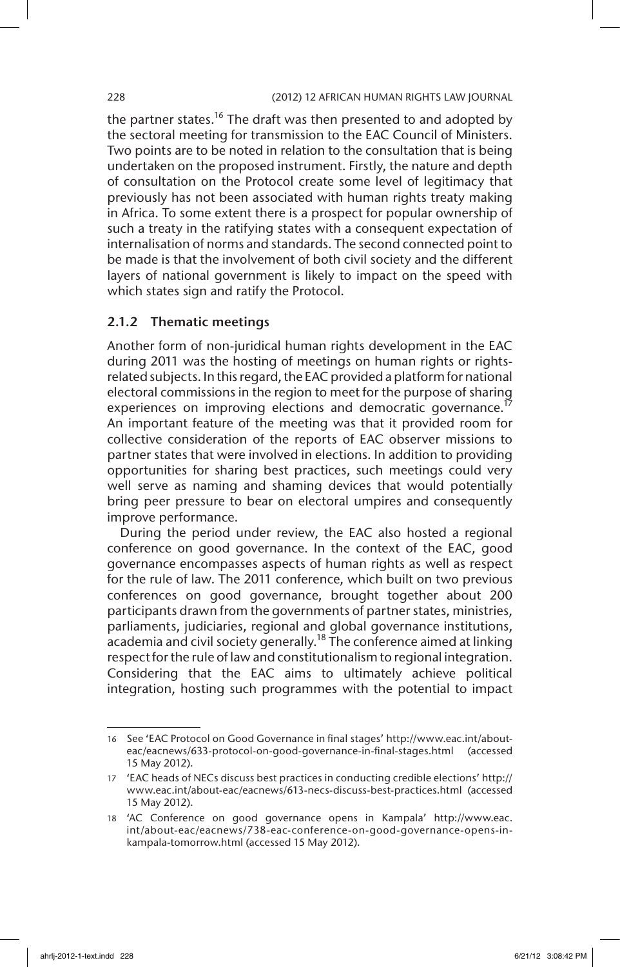the partner states.<sup>16</sup> The draft was then presented to and adopted by the sectoral meeting for transmission to the EAC Council of Ministers. Two points are to be noted in relation to the consultation that is being undertaken on the proposed instrument. Firstly, the nature and depth of consultation on the Protocol create some level of legitimacy that previously has not been associated with human rights treaty making in Africa. To some extent there is a prospect for popular ownership of such a treaty in the ratifying states with a consequent expectation of internalisation of norms and standards. The second connected point to be made is that the involvement of both civil society and the different layers of national government is likely to impact on the speed with which states sign and ratify the Protocol.

### 2.1.2 Thematic meetings

Another form of non-juridical human rights development in the EAC during 2011 was the hosting of meetings on human rights or rightsrelated subjects. In this regard, the EAC provided a platform for national electoral commissions in the region to meet for the purpose of sharing experiences on improving elections and democratic governance.<sup>17</sup> An important feature of the meeting was that it provided room for collective consideration of the reports of EAC observer missions to partner states that were involved in elections. In addition to providing opportunities for sharing best practices, such meetings could very well serve as naming and shaming devices that would potentially bring peer pressure to bear on electoral umpires and consequently improve performance.

During the period under review, the EAC also hosted a regional conference on good governance. In the context of the EAC, good governance encompasses aspects of human rights as well as respect for the rule of law. The 2011 conference, which built on two previous conferences on good governance, brought together about 200 participants drawn from the governments of partner states, ministries, parliaments, judiciaries, regional and global governance institutions,  $rac{1}{4}$  academia and civil society generally.<sup>18</sup> The conference aimed at linking respect for the rule of law and constitutionalism to regional integration. Considering that the EAC aims to ultimately achieve political integration, hosting such programmes with the potential to impact

<sup>16</sup> See 'EAC Protocol on Good Governance in final stages' http://www.eac.int/abouteac/eacnews/633-protocol-on-good-governance-in-final-stages.html (accessed 15 May 2012).

<sup>17</sup> 'EAC heads of NECs discuss best practices in conducting credible elections' http:// www.eac.int/about-eac/eacnews/613-necs-discuss-best-practices.html (accessed 15 May 2012).

<sup>18</sup> 'AC Conference on good governance opens in Kampala' http://www.eac. int/about-eac/eacnews/738-eac-conference-on-good-governance-opens-inkampala-tomorrow.html (accessed 15 May 2012).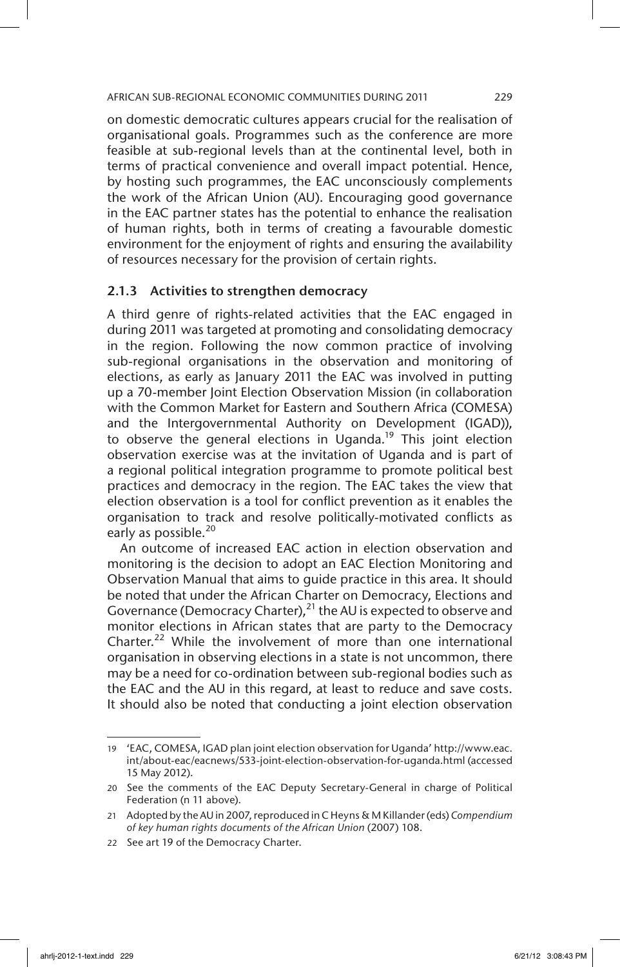on domestic democratic cultures appears crucial for the realisation of organisational goals. Programmes such as the conference are more feasible at sub-regional levels than at the continental level, both in terms of practical convenience and overall impact potential. Hence, by hosting such programmes, the EAC unconsciously complements the work of the African Union (AU). Encouraging good governance in the EAC partner states has the potential to enhance the realisation of human rights, both in terms of creating a favourable domestic environment for the enjoyment of rights and ensuring the availability of resources necessary for the provision of certain rights.

# 2.1.3 Activities to strengthen democracy

A third genre of rights-related activities that the EAC engaged in during 2011 was targeted at promoting and consolidating democracy in the region. Following the now common practice of involving sub-regional organisations in the observation and monitoring of elections, as early as January 2011 the EAC was involved in putting up a 70-member Joint Election Observation Mission (in collaboration with the Common Market for Eastern and Southern Africa (COMESA) and the Intergovernmental Authority on Development (IGAD)), to observe the general elections in Uganda.<sup>19</sup> This joint election observation exercise was at the invitation of Uganda and is part of a regional political integration programme to promote political best practices and democracy in the region. The EAC takes the view that election observation is a tool for conflict prevention as it enables the organisation to track and resolve politically-motivated conflicts as early as possible.<sup>20</sup>

An outcome of increased EAC action in election observation and monitoring is the decision to adopt an EAC Election Monitoring and Observation Manual that aims to guide practice in this area. It should be noted that under the African Charter on Democracy, Elections and Governance (Democracy Charter),<sup>21</sup> the AU is expected to observe and monitor elections in African states that are party to the Democracy Charter.<sup>22</sup> While the involvement of more than one international organisation in observing elections in a state is not uncommon, there may be a need for co-ordination between sub-regional bodies such as the EAC and the AU in this regard, at least to reduce and save costs. It should also be noted that conducting a joint election observation

<sup>19</sup> 'EAC, COMESA, IGAD plan joint election observation for Uganda' http://www.eac. int/about-eac/eacnews/533-joint-election-observation-for-uganda.html (accessed 15 May 2012).

<sup>20</sup> See the comments of the EAC Deputy Secretary-General in charge of Political Federation (n 11 above).

<sup>21</sup> Adopted by the AU in 2007, reproduced in C Heyns & M Killander (eds) *Compendium of key human rights documents of the African Union* (2007) 108.

<sup>22</sup> See art 19 of the Democracy Charter.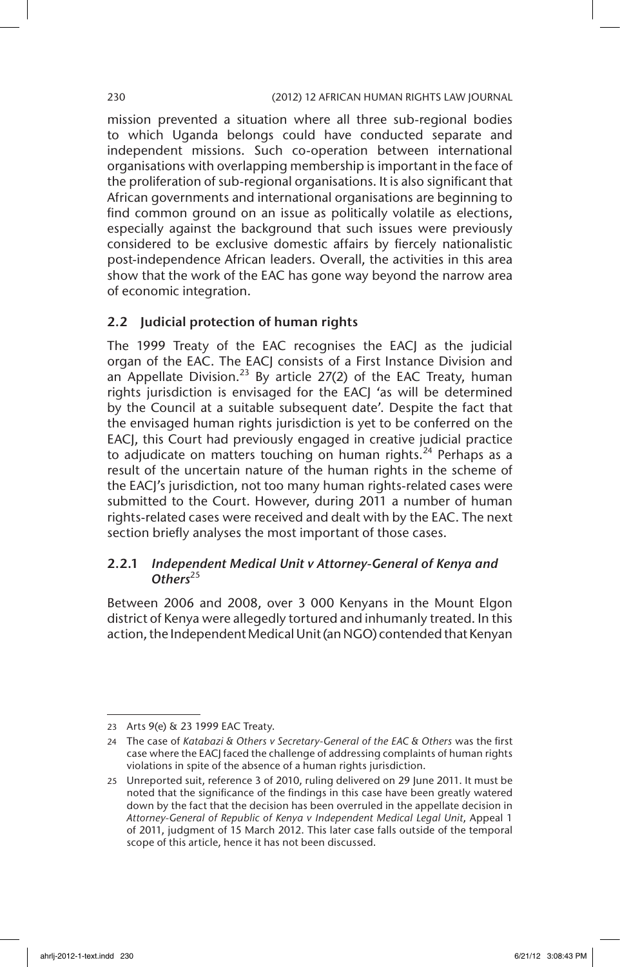mission prevented a situation where all three sub-regional bodies to which Uganda belongs could have conducted separate and independent missions. Such co-operation between international organisations with overlapping membership is important in the face of the proliferation of sub-regional organisations. It is also significant that African governments and international organisations are beginning to find common ground on an issue as politically volatile as elections, especially against the background that such issues were previously considered to be exclusive domestic affairs by fiercely nationalistic post-independence African leaders. Overall, the activities in this area show that the work of the EAC has gone way beyond the narrow area of economic integration.

# 2.2 Judicial protection of human rights

The 1999 Treaty of the EAC recognises the EACJ as the judicial organ of the EAC. The EACJ consists of a First Instance Division and an Appellate Division.<sup>23</sup> By article 27(2) of the EAC Treaty, human rights jurisdiction is envisaged for the EACJ 'as will be determined by the Council at a suitable subsequent date'. Despite the fact that the envisaged human rights jurisdiction is yet to be conferred on the EACJ, this Court had previously engaged in creative judicial practice to adjudicate on matters touching on human rights.<sup>24</sup> Perhaps as a result of the uncertain nature of the human rights in the scheme of the EACJ's jurisdiction, not too many human rights-related cases were submitted to the Court. However, during 2011 a number of human rights-related cases were received and dealt with by the EAC. The next section briefly analyses the most important of those cases.

# 2.2.1 *Independent Medical Unit v Attorney-General of Kenya and*  Others<sup>25</sup>

Between 2006 and 2008, over 3 000 Kenyans in the Mount Elgon district of Kenya were allegedly tortured and inhumanly treated. In this action, the Independent Medical Unit (an NGO) contended that Kenyan

<sup>23</sup> Arts 9(e) & 23 1999 EAC Treaty.

<sup>24</sup> The case of *Katabazi & Others v Secretary-General of the EAC & Others* was the first case where the EACJ faced the challenge of addressing complaints of human rights violations in spite of the absence of a human rights jurisdiction.

<sup>25</sup> Unreported suit, reference 3 of 2010, ruling delivered on 29 June 2011. It must be noted that the significance of the findings in this case have been greatly watered down by the fact that the decision has been overruled in the appellate decision in *Attorney-General of Republic of Kenya v Independent Medical Legal Unit*, Appeal 1 of 2011, judgment of 15 March 2012. This later case falls outside of the temporal scope of this article, hence it has not been discussed.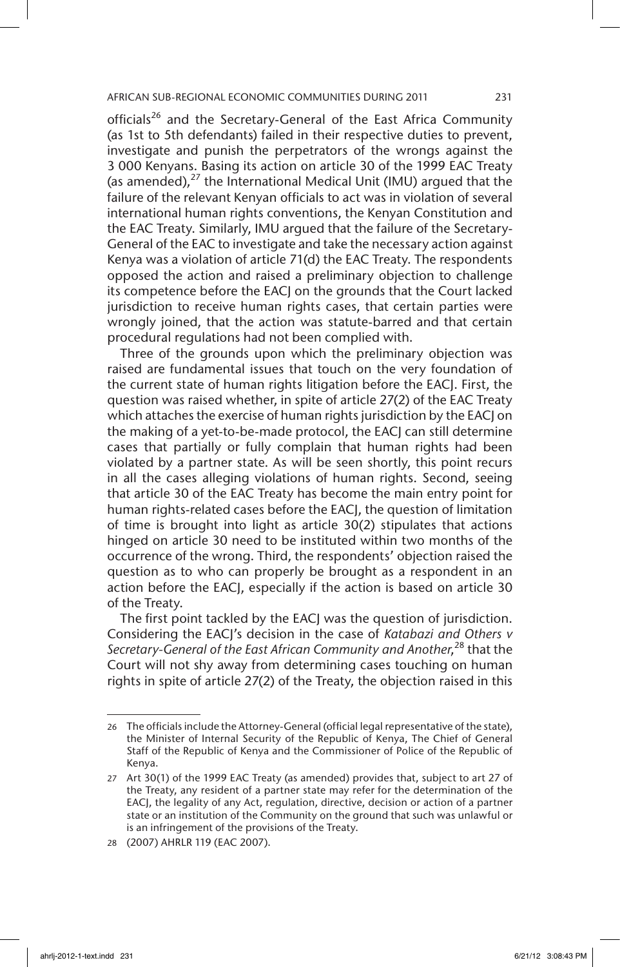officials<sup>26</sup> and the Secretary-General of the East Africa Community (as 1st to 5th defendants) failed in their respective duties to prevent, investigate and punish the perpetrators of the wrongs against the 3 000 Kenyans. Basing its action on article 30 of the 1999 EAC Treaty (as amended), $^{27}$  the International Medical Unit (IMU) argued that the failure of the relevant Kenyan officials to act was in violation of several international human rights conventions, the Kenyan Constitution and the EAC Treaty. Similarly, IMU argued that the failure of the Secretary-General of the EAC to investigate and take the necessary action against Kenya was a violation of article 71(d) the EAC Treaty. The respondents opposed the action and raised a preliminary objection to challenge its competence before the EACJ on the grounds that the Court lacked jurisdiction to receive human rights cases, that certain parties were wrongly joined, that the action was statute-barred and that certain procedural regulations had not been complied with.

Three of the grounds upon which the preliminary objection was raised are fundamental issues that touch on the very foundation of the current state of human rights litigation before the EACJ. First, the question was raised whether, in spite of article 27(2) of the EAC Treaty which attaches the exercise of human rights jurisdiction by the EACJ on the making of a yet-to-be-made protocol, the EACJ can still determine cases that partially or fully complain that human rights had been violated by a partner state. As will be seen shortly, this point recurs in all the cases alleging violations of human rights. Second, seeing that article 30 of the EAC Treaty has become the main entry point for human rights-related cases before the EACJ, the question of limitation of time is brought into light as article 30(2) stipulates that actions hinged on article 30 need to be instituted within two months of the occurrence of the wrong. Third, the respondents' objection raised the question as to who can properly be brought as a respondent in an action before the EACJ, especially if the action is based on article 30 of the Treaty.

The first point tackled by the EACJ was the question of jurisdiction. Considering the EACJ's decision in the case of *Katabazi and Others v*  Secretary-General of the East African Community and Another,<sup>28</sup> that the Court will not shy away from determining cases touching on human rights in spite of article 27(2) of the Treaty, the objection raised in this

<sup>26</sup> The officials include the Attorney-General (official legal representative of the state), the Minister of Internal Security of the Republic of Kenya, The Chief of General Staff of the Republic of Kenya and the Commissioner of Police of the Republic of Kenya.

<sup>27</sup> Art 30(1) of the 1999 EAC Treaty (as amended) provides that, subject to art 27 of the Treaty, any resident of a partner state may refer for the determination of the EACJ, the legality of any Act, regulation, directive, decision or action of a partner state or an institution of the Community on the ground that such was unlawful or is an infringement of the provisions of the Treaty.

<sup>28</sup> (2007) AHRLR 119 (EAC 2007).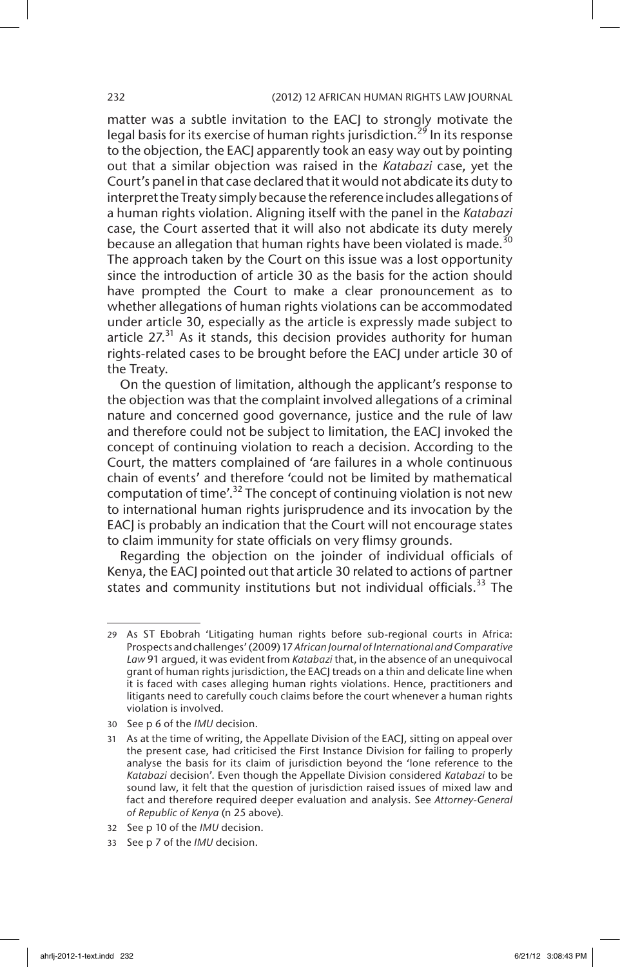matter was a subtle invitation to the EACJ to strongly motivate the legal basis for its exercise of human rights jurisdiction.<sup>29</sup> In its response to the objection, the EACJ apparently took an easy way out by pointing out that a similar objection was raised in the *Katabazi* case, yet the Court's panel in that case declared that it would not abdicate its duty to interpret the Treaty simply because the reference includes allegations of a human rights violation. Aligning itself with the panel in the *Katabazi* case, the Court asserted that it will also not abdicate its duty merely because an allegation that human rights have been violated is made.<sup>30</sup> The approach taken by the Court on this issue was a lost opportunity since the introduction of article 30 as the basis for the action should have prompted the Court to make a clear pronouncement as to whether allegations of human rights violations can be accommodated under article 30, especially as the article is expressly made subject to article  $27<sup>31</sup>$  As it stands, this decision provides authority for human rights-related cases to be brought before the EACJ under article 30 of the Treaty.

On the question of limitation, although the applicant's response to the objection was that the complaint involved allegations of a criminal nature and concerned good governance, justice and the rule of law and therefore could not be subject to limitation, the EACJ invoked the concept of continuing violation to reach a decision. According to the Court, the matters complained of 'are failures in a whole continuous chain of events' and therefore 'could not be limited by mathematical computation of time'.<sup>32</sup> The concept of continuing violation is not new to international human rights jurisprudence and its invocation by the EACJ is probably an indication that the Court will not encourage states to claim immunity for state officials on very flimsy grounds.

Regarding the objection on the joinder of individual officials of Kenya, the EACJ pointed out that article 30 related to actions of partner states and community institutions but not individual officials.<sup>33</sup> The

<sup>29</sup> As ST Ebobrah 'Litigating human rights before sub-regional courts in Africa: Prospects and challenges' (2009) 17 *African Journal of International and Comparative Law* 91 argued, it was evident from *Katabazi* that, in the absence of an unequivocal grant of human rights jurisdiction, the EACJ treads on a thin and delicate line when it is faced with cases alleging human rights violations. Hence, practitioners and litigants need to carefully couch claims before the court whenever a human rights violation is involved.

<sup>30</sup> See p 6 of the *IMU* decision.

<sup>31</sup> As at the time of writing, the Appellate Division of the EACJ, sitting on appeal over the present case, had criticised the First Instance Division for failing to properly analyse the basis for its claim of jurisdiction beyond the 'lone reference to the *Katabazi* decision'. Even though the Appellate Division considered *Katabazi* to be sound law, it felt that the question of jurisdiction raised issues of mixed law and fact and therefore required deeper evaluation and analysis. See *Attorney-General of Republic of Kenya* (n 25 above).

<sup>32</sup> See p 10 of the *IMU* decision.

<sup>33</sup> See p 7 of the *IMU* decision.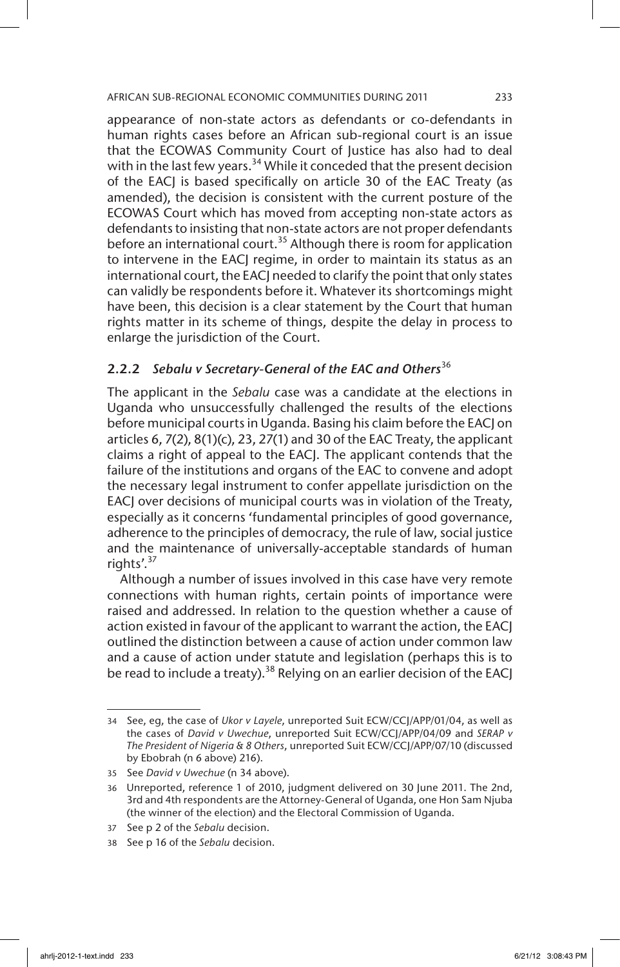appearance of non-state actors as defendants or co-defendants in human rights cases before an African sub-regional court is an issue that the ECOWAS Community Court of Justice has also had to deal with in the last few years.<sup>34</sup> While it conceded that the present decision of the EACJ is based specifically on article 30 of the EAC Treaty (as amended), the decision is consistent with the current posture of the ECOWAS Court which has moved from accepting non-state actors as defendants to insisting that non-state actors are not proper defendants before an international court.<sup>35</sup> Although there is room for application to intervene in the EACJ regime, in order to maintain its status as an international court, the EACJ needed to clarify the point that only states can validly be respondents before it. Whatever its shortcomings might have been, this decision is a clear statement by the Court that human rights matter in its scheme of things, despite the delay in process to enlarge the jurisdiction of the Court.

# 2.2.2 *Sebalu v Secretary-General of the EAC and Others*<sup>36</sup>

The applicant in the *Sebalu* case was a candidate at the elections in Uganda who unsuccessfully challenged the results of the elections before municipal courts in Uganda. Basing his claim before the EACJ on articles 6, 7(2), 8(1)(c), 23, 27(1) and 30 of the EAC Treaty, the applicant claims a right of appeal to the EACJ. The applicant contends that the failure of the institutions and organs of the EAC to convene and adopt the necessary legal instrument to confer appellate jurisdiction on the EACJ over decisions of municipal courts was in violation of the Treaty, especially as it concerns 'fundamental principles of good governance, adherence to the principles of democracy, the rule of law, social justice and the maintenance of universally-acceptable standards of human rights'. $37$ 

Although a number of issues involved in this case have very remote connections with human rights, certain points of importance were raised and addressed. In relation to the question whether a cause of action existed in favour of the applicant to warrant the action, the EACJ outlined the distinction between a cause of action under common law and a cause of action under statute and legislation (perhaps this is to be read to include a treaty).<sup>38</sup> Relying on an earlier decision of the EACJ

<sup>34</sup> See, eg, the case of *Ukor v Layele*, unreported Suit ECW/CCJ/APP/01/04, as well as the cases of *David v Uwechue*, unreported Suit ECW/CCJ/APP/04/09 and *SERAP v The President of Nigeria & 8 Others*, unreported Suit ECW/CCJ/APP/07/10 (discussed by Ebobrah (n 6 above) 216).

<sup>35</sup> See *David v Uwechue* (n 34 above).

<sup>36</sup> Unreported, reference 1 of 2010, judgment delivered on 30 June 2011. The 2nd, 3rd and 4th respondents are the Attorney-General of Uganda, one Hon Sam Njuba (the winner of the election) and the Electoral Commission of Uganda.

<sup>37</sup> See p 2 of the *Sebalu* decision.

<sup>38</sup> See p 16 of the *Sebalu* decision.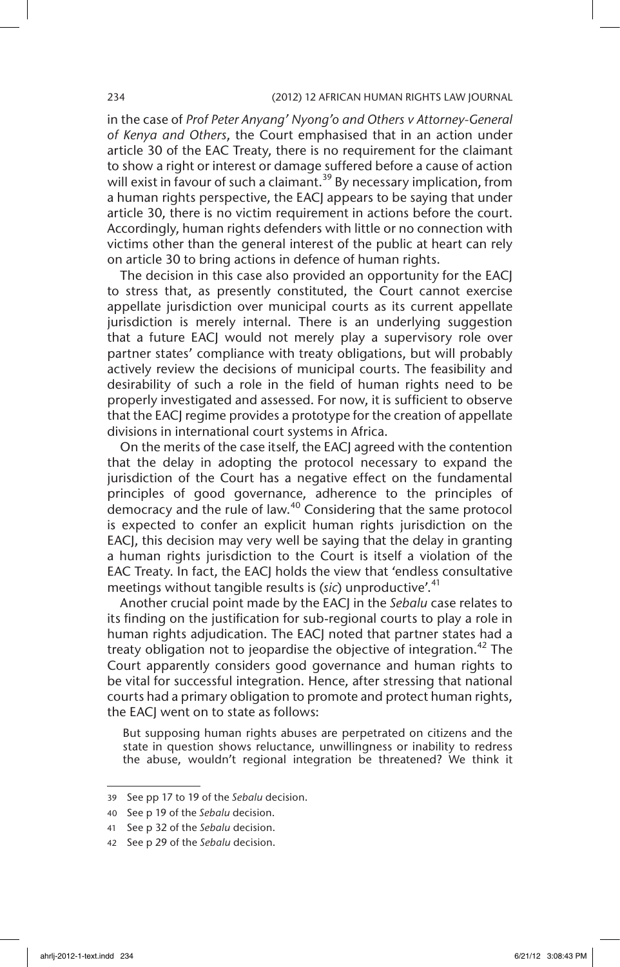#### 234 (2012) 12 AFRICAN HUMAN RIGHTS LAW JOURNAL

in the case of *Prof Peter Anyang' Nyong'o and Others v Attorney-General of Kenya and Others*, the Court emphasised that in an action under article 30 of the EAC Treaty, there is no requirement for the claimant to show a right or interest or damage suffered before a cause of action will exist in favour of such a claimant.<sup>39</sup> By necessary implication, from a human rights perspective, the EACJ appears to be saying that under article 30, there is no victim requirement in actions before the court. Accordingly, human rights defenders with little or no connection with victims other than the general interest of the public at heart can rely on article 30 to bring actions in defence of human rights.

The decision in this case also provided an opportunity for the EACJ to stress that, as presently constituted, the Court cannot exercise appellate jurisdiction over municipal courts as its current appellate jurisdiction is merely internal. There is an underlying suggestion that a future EACJ would not merely play a supervisory role over partner states' compliance with treaty obligations, but will probably actively review the decisions of municipal courts. The feasibility and desirability of such a role in the field of human rights need to be properly investigated and assessed. For now, it is sufficient to observe that the EACJ regime provides a prototype for the creation of appellate divisions in international court systems in Africa.

On the merits of the case itself, the EACJ agreed with the contention that the delay in adopting the protocol necessary to expand the jurisdiction of the Court has a negative effect on the fundamental principles of good governance, adherence to the principles of democracy and the rule of law.<sup>40</sup> Considering that the same protocol is expected to confer an explicit human rights jurisdiction on the EACJ, this decision may very well be saying that the delay in granting a human rights jurisdiction to the Court is itself a violation of the EAC Treaty. In fact, the EACJ holds the view that 'endless consultative meetings without tangible results is (*sic*) unproductive'.<sup>41</sup>

Another crucial point made by the EACJ in the *Sebalu* case relates to its finding on the justification for sub-regional courts to play a role in human rights adjudication. The EACJ noted that partner states had a treaty obligation not to jeopardise the objective of integration.<sup>42</sup> The Court apparently considers good governance and human rights to be vital for successful integration. Hence, after stressing that national courts had a primary obligation to promote and protect human rights, the EACJ went on to state as follows:

But supposing human rights abuses are perpetrated on citizens and the state in question shows reluctance, unwillingness or inability to redress the abuse, wouldn't regional integration be threatened? We think it

<sup>39</sup> See pp 17 to 19 of the *Sebalu* decision.

<sup>40</sup> See p 19 of the *Sebalu* decision.

<sup>41</sup> See p 32 of the *Sebalu* decision.

<sup>42</sup> See p 29 of the *Sebalu* decision.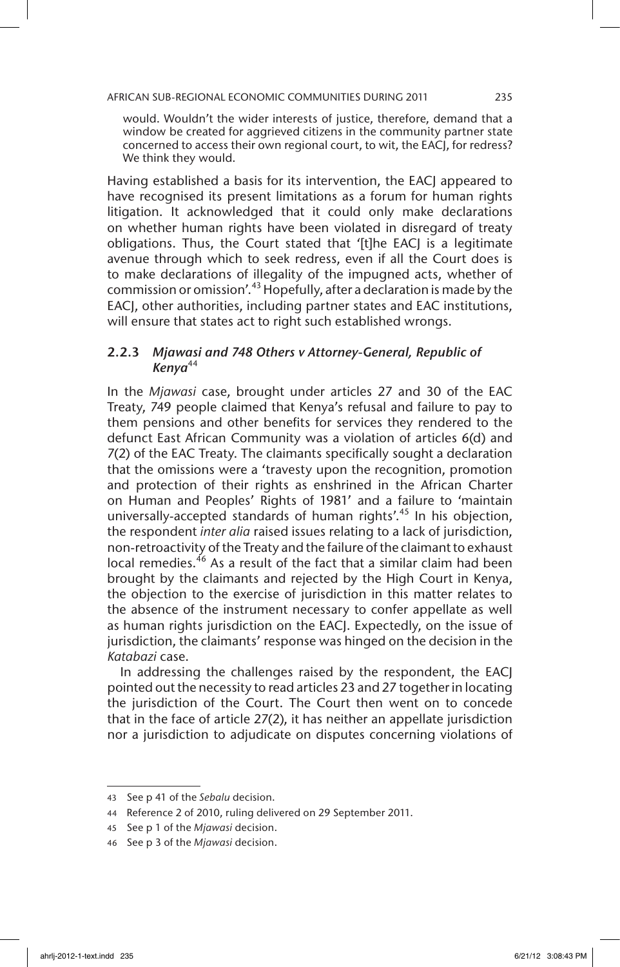would. Wouldn't the wider interests of justice, therefore, demand that a window be created for aggrieved citizens in the community partner state concerned to access their own regional court, to wit, the EACJ, for redress? We think they would.

Having established a basis for its intervention, the EACJ appeared to have recognised its present limitations as a forum for human rights litigation. It acknowledged that it could only make declarations on whether human rights have been violated in disregard of treaty obligations. Thus, the Court stated that '[t]he EACJ is a legitimate avenue through which to seek redress, even if all the Court does is to make declarations of illegality of the impugned acts, whether of commission or omission'.<sup>43</sup> Hopefully, after a declaration is made by the EACJ, other authorities, including partner states and EAC institutions, will ensure that states act to right such established wrongs.

# 2.2.3 *Mjawasi and 748 Others v Attorney-General, Republic of Kenya*<sup>44</sup>

In the *Mjawasi* case, brought under articles 27 and 30 of the EAC Treaty, 749 people claimed that Kenya's refusal and failure to pay to them pensions and other benefits for services they rendered to the defunct East African Community was a violation of articles 6(d) and 7(2) of the EAC Treaty. The claimants specifically sought a declaration that the omissions were a 'travesty upon the recognition, promotion and protection of their rights as enshrined in the African Charter on Human and Peoples' Rights of 1981' and a failure to 'maintain universally-accepted standards of human rights'.<sup>45</sup> In his objection, the respondent *inter alia* raised issues relating to a lack of jurisdiction, non-retroactivity of the Treaty and the failure of the claimant to exhaust local remedies.<sup>46</sup> As a result of the fact that a similar claim had been brought by the claimants and rejected by the High Court in Kenya, the objection to the exercise of jurisdiction in this matter relates to the absence of the instrument necessary to confer appellate as well as human rights jurisdiction on the EACJ. Expectedly, on the issue of jurisdiction, the claimants' response was hinged on the decision in the *Katabazi* case.

In addressing the challenges raised by the respondent, the EACJ pointed out the necessity to read articles 23 and 27 together in locating the jurisdiction of the Court. The Court then went on to concede that in the face of article 27(2), it has neither an appellate jurisdiction nor a jurisdiction to adjudicate on disputes concerning violations of

<sup>43</sup> See p 41 of the *Sebalu* decision.

<sup>44</sup> Reference 2 of 2010, ruling delivered on 29 September 2011.

<sup>45</sup> See p 1 of the *Mjawasi* decision.

<sup>46</sup> See p 3 of the *Mjawasi* decision.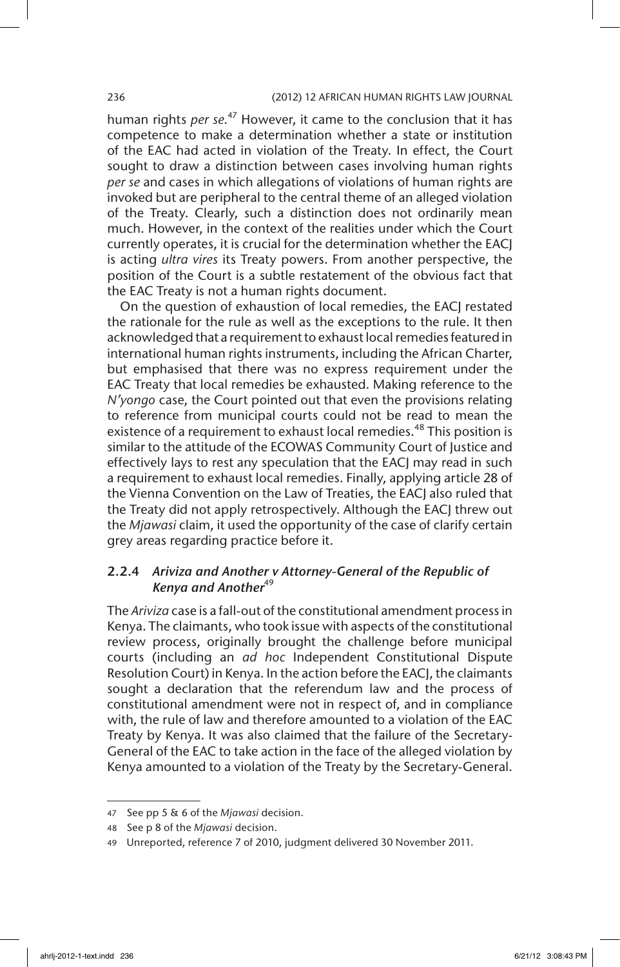### 236 (2012) 12 AFRICAN HUMAN RIGHTS LAW JOURNAL

human rights *per se*. 47 However, it came to the conclusion that it has competence to make a determination whether a state or institution of the EAC had acted in violation of the Treaty. In effect, the Court sought to draw a distinction between cases involving human rights *per se* and cases in which allegations of violations of human rights are invoked but are peripheral to the central theme of an alleged violation of the Treaty. Clearly, such a distinction does not ordinarily mean much. However, in the context of the realities under which the Court currently operates, it is crucial for the determination whether the EACJ is acting *ultra vires* its Treaty powers. From another perspective, the position of the Court is a subtle restatement of the obvious fact that the EAC Treaty is not a human rights document.

On the question of exhaustion of local remedies, the EACJ restated the rationale for the rule as well as the exceptions to the rule. It then acknowledged that a requirement to exhaust local remedies featured in international human rights instruments, including the African Charter, but emphasised that there was no express requirement under the EAC Treaty that local remedies be exhausted. Making reference to the *N'yongo* case, the Court pointed out that even the provisions relating to reference from municipal courts could not be read to mean the existence of a requirement to exhaust local remedies.<sup>48</sup> This position is similar to the attitude of the ECOWAS Community Court of Justice and effectively lays to rest any speculation that the EACJ may read in such a requirement to exhaust local remedies. Finally, applying article 28 of the Vienna Convention on the Law of Treaties, the EACJ also ruled that the Treaty did not apply retrospectively. Although the EACJ threw out the *Mjawasi* claim, it used the opportunity of the case of clarify certain grey areas regarding practice before it.

# 2.2.4 *Ariviza and Another v Attorney-General of the Republic of*  Kenya and Another<sup>49</sup>

The *Ariviza* case is a fall-out of the constitutional amendment process in Kenya. The claimants, who took issue with aspects of the constitutional review process, originally brought the challenge before municipal courts (including an *ad hoc* Independent Constitutional Dispute Resolution Court) in Kenya. In the action before the EACJ, the claimants sought a declaration that the referendum law and the process of constitutional amendment were not in respect of, and in compliance with, the rule of law and therefore amounted to a violation of the EAC Treaty by Kenya. It was also claimed that the failure of the Secretary-General of the EAC to take action in the face of the alleged violation by Kenya amounted to a violation of the Treaty by the Secretary-General.

<sup>47</sup> See pp 5 & 6 of the *Mjawasi* decision.

<sup>48</sup> See p 8 of the *Mjawasi* decision.

<sup>49</sup> Unreported, reference 7 of 2010, judgment delivered 30 November 2011.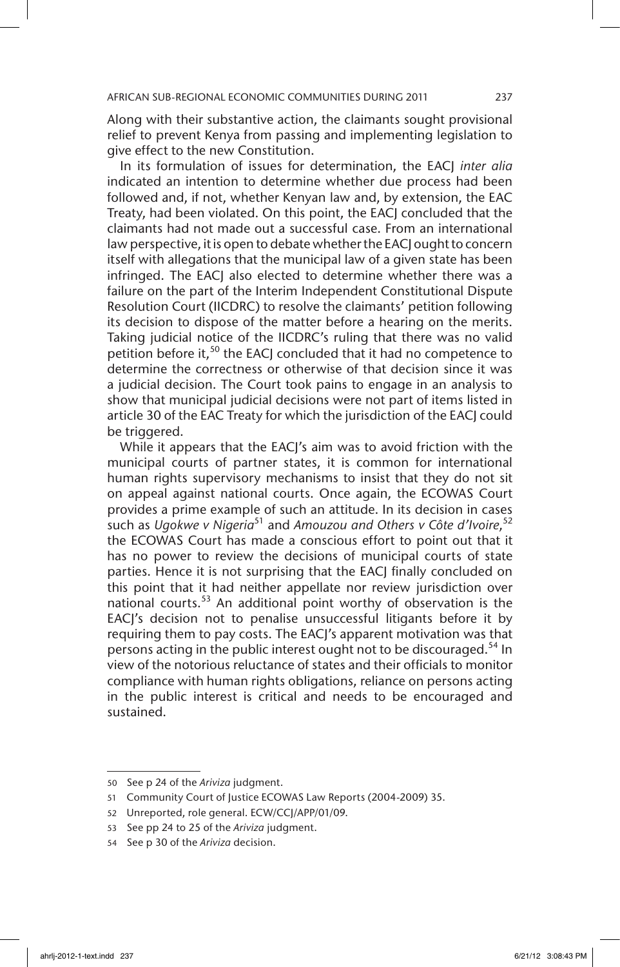Along with their substantive action, the claimants sought provisional relief to prevent Kenya from passing and implementing legislation to give effect to the new Constitution.

In its formulation of issues for determination, the EACJ *inter alia* indicated an intention to determine whether due process had been followed and, if not, whether Kenyan law and, by extension, the EAC Treaty, had been violated. On this point, the EACJ concluded that the claimants had not made out a successful case. From an international law perspective, it is open to debate whether the EACJ ought to concern itself with allegations that the municipal law of a given state has been infringed. The EACJ also elected to determine whether there was a failure on the part of the Interim Independent Constitutional Dispute Resolution Court (IICDRC) to resolve the claimants' petition following its decision to dispose of the matter before a hearing on the merits. Taking judicial notice of the IICDRC's ruling that there was no valid petition before it,<sup>50</sup> the EACJ concluded that it had no competence to determine the correctness or otherwise of that decision since it was a judicial decision. The Court took pains to engage in an analysis to show that municipal judicial decisions were not part of items listed in article 30 of the EAC Treaty for which the jurisdiction of the EACJ could be triggered.

While it appears that the EACJ's aim was to avoid friction with the municipal courts of partner states, it is common for international human rights supervisory mechanisms to insist that they do not sit on appeal against national courts. Once again, the ECOWAS Court provides a prime example of such an attitude. In its decision in cases such as *Ugokwe v Nigeria*51 and *Amouzou and Others v Côte d'Ivoire*, 52 the ECOWAS Court has made a conscious effort to point out that it has no power to review the decisions of municipal courts of state parties. Hence it is not surprising that the EACJ finally concluded on this point that it had neither appellate nor review jurisdiction over national courts. $53$  An additional point worthy of observation is the EACJ's decision not to penalise unsuccessful litigants before it by requiring them to pay costs. The EACJ's apparent motivation was that persons acting in the public interest ought not to be discouraged.<sup>54</sup> In view of the notorious reluctance of states and their officials to monitor compliance with human rights obligations, reliance on persons acting in the public interest is critical and needs to be encouraged and sustained.

<sup>50</sup> See p 24 of the *Ariviza* judgment.

<sup>51</sup> Community Court of Justice ECOWAS Law Reports (2004-2009) 35.

<sup>52</sup> Unreported, role general. ECW/CCJ/APP/01/09.

<sup>53</sup> See pp 24 to 25 of the *Ariviza* judgment.

<sup>54</sup> See p 30 of the *Ariviza* decision.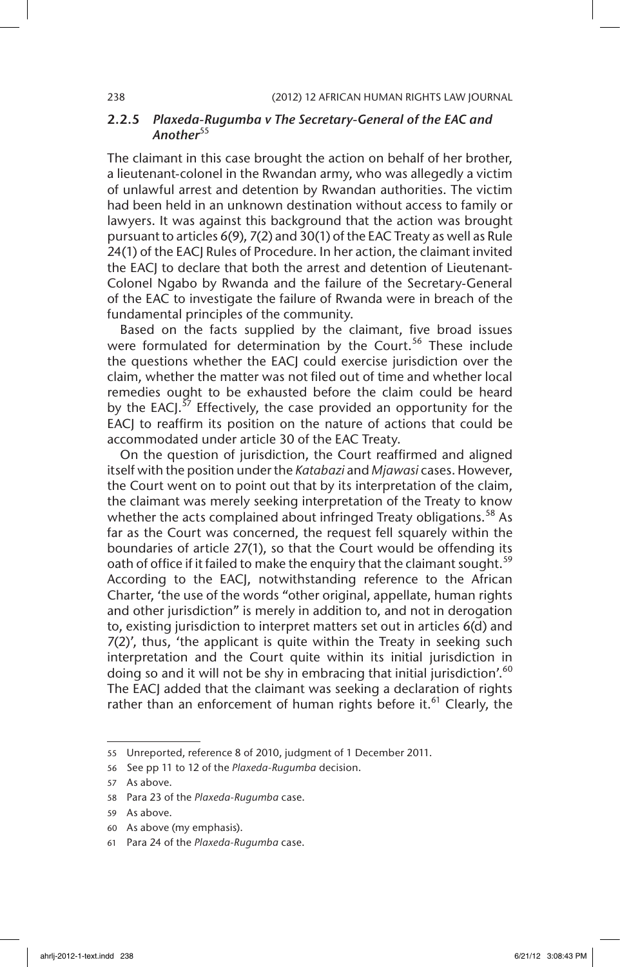# 2.2.5 *Plaxeda-Rugumba v The Secretary-General of the EAC and*  Another<sup>55</sup>

The claimant in this case brought the action on behalf of her brother, a lieutenant-colonel in the Rwandan army, who was allegedly a victim of unlawful arrest and detention by Rwandan authorities. The victim had been held in an unknown destination without access to family or lawyers. It was against this background that the action was brought pursuant to articles 6(9), 7(2) and 30(1) of the EAC Treaty as well as Rule 24(1) of the EACJ Rules of Procedure. In her action, the claimant invited the EACJ to declare that both the arrest and detention of Lieutenant-Colonel Ngabo by Rwanda and the failure of the Secretary-General of the EAC to investigate the failure of Rwanda were in breach of the fundamental principles of the community.

Based on the facts supplied by the claimant, five broad issues were formulated for determination by the Court.<sup>56</sup> These include the questions whether the EACJ could exercise jurisdiction over the claim, whether the matter was not filed out of time and whether local remedies ought to be exhausted before the claim could be heard by the EACJ. $57$  Effectively, the case provided an opportunity for the EACJ to reaffirm its position on the nature of actions that could be accommodated under article 30 of the EAC Treaty.

On the question of jurisdiction, the Court reaffirmed and aligned itself with the position under the *Katabazi* and *Mjawasi* cases. However, the Court went on to point out that by its interpretation of the claim, the claimant was merely seeking interpretation of the Treaty to know whether the acts complained about infringed Treaty obligations.<sup>58</sup> As far as the Court was concerned, the request fell squarely within the boundaries of article 27(1), so that the Court would be offending its oath of office if it failed to make the enquiry that the claimant sought.<sup>59</sup> According to the EACJ, notwithstanding reference to the African Charter, 'the use of the words "other original, appellate, human rights and other jurisdiction" is merely in addition to, and not in derogation to, existing jurisdiction to interpret matters set out in articles 6(d) and 7(2)', thus, 'the applicant is quite within the Treaty in seeking such interpretation and the Court quite within its initial jurisdiction in doing so and it will not be shy in embracing that initial jurisdiction'.<sup>60</sup> The EACJ added that the claimant was seeking a declaration of rights rather than an enforcement of human rights before it.<sup>61</sup> Clearly, the

<sup>55</sup> Unreported, reference 8 of 2010, judgment of 1 December 2011.

<sup>56</sup> See pp 11 to 12 of the *Plaxeda-Rugumba* decision.

<sup>57</sup> As above.

<sup>58</sup> Para 23 of the *Plaxeda-Rugumba* case.

<sup>59</sup> As above.

<sup>60</sup> As above (my emphasis).

<sup>61</sup> Para 24 of the *Plaxeda-Rugumba* case.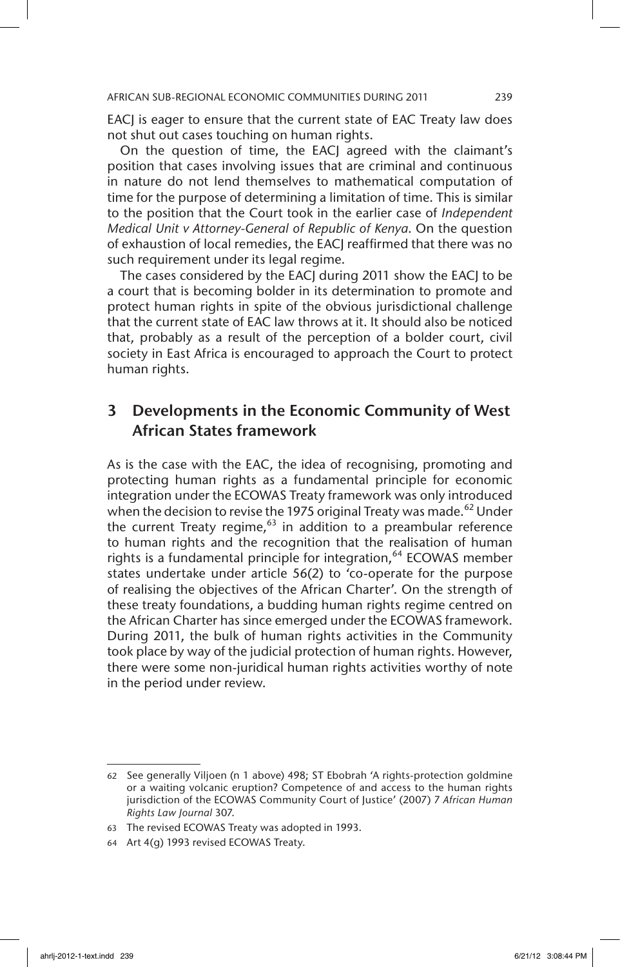EACJ is eager to ensure that the current state of EAC Treaty law does not shut out cases touching on human rights.

On the question of time, the EACJ agreed with the claimant's position that cases involving issues that are criminal and continuous in nature do not lend themselves to mathematical computation of time for the purpose of determining a limitation of time. This is similar to the position that the Court took in the earlier case of *Independent Medical Unit v Attorney-General of Republic of Kenya*. On the question of exhaustion of local remedies, the EACJ reaffirmed that there was no such requirement under its legal regime.

The cases considered by the EACJ during 2011 show the EACJ to be a court that is becoming bolder in its determination to promote and protect human rights in spite of the obvious jurisdictional challenge that the current state of EAC law throws at it. It should also be noticed that, probably as a result of the perception of a bolder court, civil society in East Africa is encouraged to approach the Court to protect human rights.

# 3 Developments in the Economic Community of West African States framework

As is the case with the EAC, the idea of recognising, promoting and protecting human rights as a fundamental principle for economic integration under the ECOWAS Treaty framework was only introduced when the decision to revise the 1975 original Treaty was made.<sup>62</sup> Under the current Treaty regime, $63$  in addition to a preambular reference to human rights and the recognition that the realisation of human rights is a fundamental principle for integration,<sup>64</sup> ECOWAS member states undertake under article 56(2) to 'co-operate for the purpose of realising the objectives of the African Charter'. On the strength of these treaty foundations, a budding human rights regime centred on the African Charter has since emerged under the ECOWAS framework. During 2011, the bulk of human rights activities in the Community took place by way of the judicial protection of human rights. However, there were some non-juridical human rights activities worthy of note in the period under review.

<sup>62</sup> See generally Viljoen (n 1 above) 498; ST Ebobrah 'A rights-protection goldmine or a waiting volcanic eruption? Competence of and access to the human rights jurisdiction of the ECOWAS Community Court of Justice' (2007) 7 *African Human Rights Law Journal* 307.

<sup>63</sup> The revised ECOWAS Treaty was adopted in 1993.

<sup>64</sup> Art 4(g) 1993 revised ECOWAS Treaty.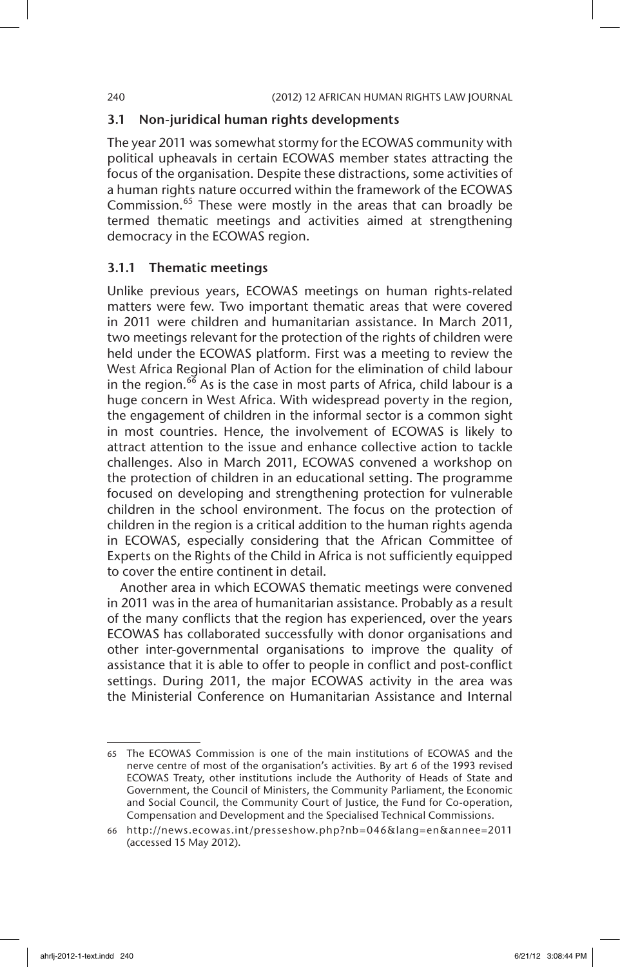### 3.1 Non-juridical human rights developments

The year 2011 was somewhat stormy for the ECOWAS community with political upheavals in certain ECOWAS member states attracting the focus of the organisation. Despite these distractions, some activities of a human rights nature occurred within the framework of the ECOWAS Commission.<sup>65</sup> These were mostly in the areas that can broadly be termed thematic meetings and activities aimed at strengthening democracy in the ECOWAS region.

# 3.1.1 Thematic meetings

Unlike previous years, ECOWAS meetings on human rights-related matters were few. Two important thematic areas that were covered in 2011 were children and humanitarian assistance. In March 2011, two meetings relevant for the protection of the rights of children were held under the ECOWAS platform. First was a meeting to review the West Africa Regional Plan of Action for the elimination of child labour in the region.<sup>66</sup> As is the case in most parts of Africa, child labour is a huge concern in West Africa. With widespread poverty in the region, the engagement of children in the informal sector is a common sight in most countries. Hence, the involvement of ECOWAS is likely to attract attention to the issue and enhance collective action to tackle challenges. Also in March 2011, ECOWAS convened a workshop on the protection of children in an educational setting. The programme focused on developing and strengthening protection for vulnerable children in the school environment. The focus on the protection of children in the region is a critical addition to the human rights agenda in ECOWAS, especially considering that the African Committee of Experts on the Rights of the Child in Africa is not sufficiently equipped to cover the entire continent in detail.

Another area in which ECOWAS thematic meetings were convened in 2011 was in the area of humanitarian assistance. Probably as a result of the many conflicts that the region has experienced, over the years ECOWAS has collaborated successfully with donor organisations and other inter-governmental organisations to improve the quality of assistance that it is able to offer to people in conflict and post-conflict settings. During 2011, the major ECOWAS activity in the area was the Ministerial Conference on Humanitarian Assistance and Internal

<sup>65</sup> The ECOWAS Commission is one of the main institutions of ECOWAS and the nerve centre of most of the organisation's activities. By art 6 of the 1993 revised ECOWAS Treaty, other institutions include the Authority of Heads of State and Government, the Council of Ministers, the Community Parliament, the Economic and Social Council, the Community Court of Justice, the Fund for Co-operation, Compensation and Development and the Specialised Technical Commissions.

<sup>66</sup> http://news.ecowas.int/presseshow.php?nb=046&lang=en&annee=2011 (accessed 15 May 2012).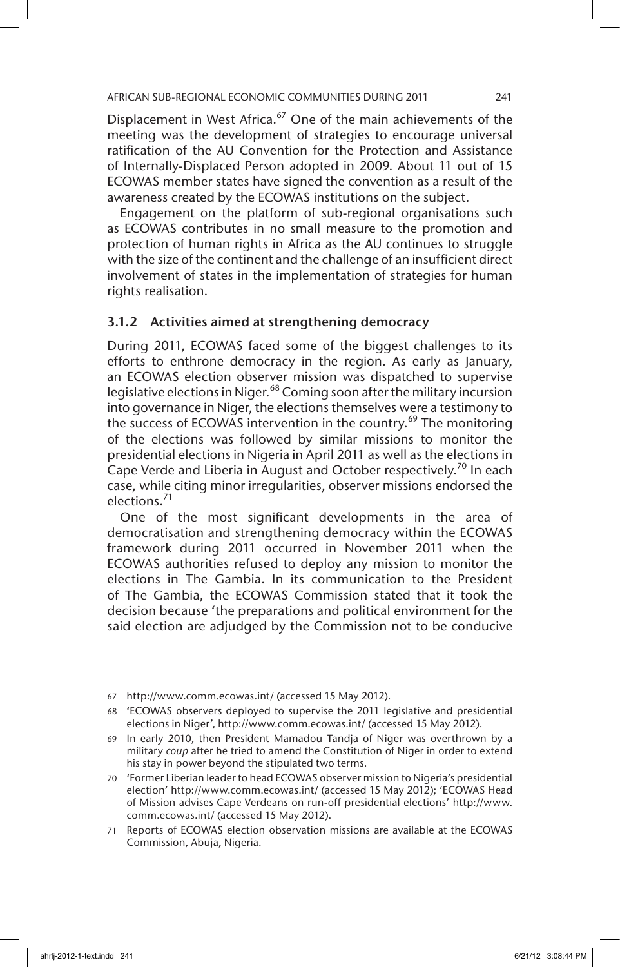Displacement in West Africa.<sup>67</sup> One of the main achievements of the meeting was the development of strategies to encourage universal ratification of the AU Convention for the Protection and Assistance of Internally-Displaced Person adopted in 2009. About 11 out of 15 ECOWAS member states have signed the convention as a result of the awareness created by the ECOWAS institutions on the subject.

Engagement on the platform of sub-regional organisations such as ECOWAS contributes in no small measure to the promotion and protection of human rights in Africa as the AU continues to struggle with the size of the continent and the challenge of an insufficient direct involvement of states in the implementation of strategies for human rights realisation.

### 3.1.2 Activities aimed at strengthening democracy

During 2011, ECOWAS faced some of the biggest challenges to its efforts to enthrone democracy in the region. As early as January, an ECOWAS election observer mission was dispatched to supervise legislative elections in Niger.<sup>68</sup> Coming soon after the military incursion into governance in Niger, the elections themselves were a testimony to the success of ECOWAS intervention in the country.<sup>69</sup> The monitoring of the elections was followed by similar missions to monitor the presidential elections in Nigeria in April 2011 as well as the elections in Cape Verde and Liberia in August and October respectively.<sup>70</sup> In each case, while citing minor irregularities, observer missions endorsed the elections.<sup>71</sup>

One of the most significant developments in the area of democratisation and strengthening democracy within the ECOWAS framework during 2011 occurred in November 2011 when the ECOWAS authorities refused to deploy any mission to monitor the elections in The Gambia. In its communication to the President of The Gambia, the ECOWAS Commission stated that it took the decision because 'the preparations and political environment for the said election are adjudged by the Commission not to be conducive

<sup>67</sup> http://www.comm.ecowas.int/ (accessed 15 May 2012).

<sup>68</sup> 'ECOWAS observers deployed to supervise the 2011 legislative and presidential elections in Niger', http://www.comm.ecowas.int/ (accessed 15 May 2012).

<sup>69</sup> In early 2010, then President Mamadou Tandja of Niger was overthrown by a military *coup* after he tried to amend the Constitution of Niger in order to extend his stay in power beyond the stipulated two terms.

<sup>70</sup> 'Former Liberian leader to head ECOWAS observer mission to Nigeria's presidential election' http://www.comm.ecowas.int/ (accessed 15 May 2012); 'ECOWAS Head of Mission advises Cape Verdeans on run-off presidential elections' http://www. comm.ecowas.int/ (accessed 15 May 2012).

<sup>71</sup> Reports of ECOWAS election observation missions are available at the ECOWAS Commission, Abuja, Nigeria.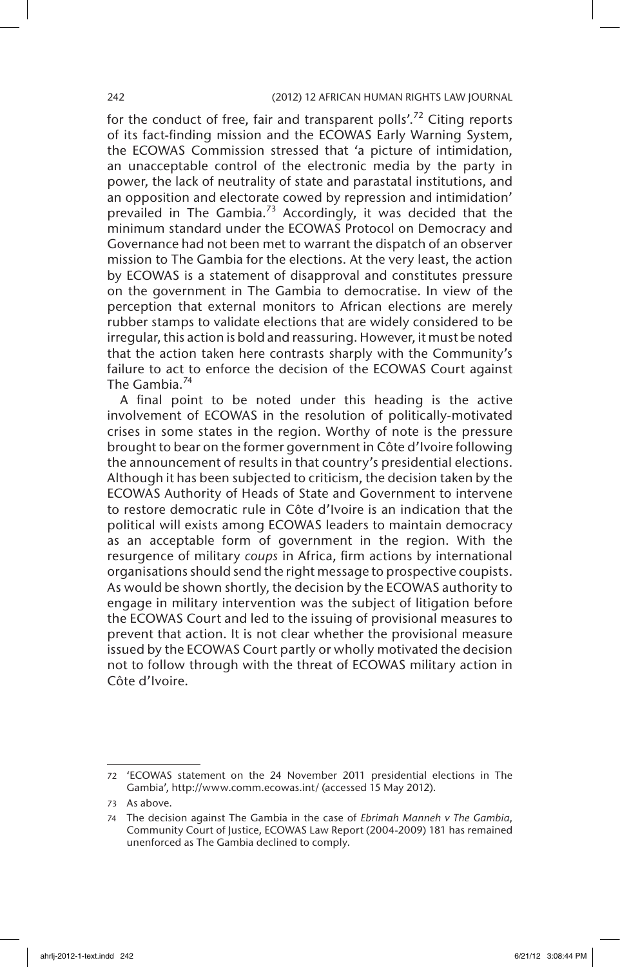for the conduct of free, fair and transparent polls'.<sup>72</sup> Citing reports of its fact-finding mission and the ECOWAS Early Warning System, the ECOWAS Commission stressed that 'a picture of intimidation, an unacceptable control of the electronic media by the party in power, the lack of neutrality of state and parastatal institutions, and an opposition and electorate cowed by repression and intimidation' prevailed in The Gambia.<sup>73</sup> Accordingly, it was decided that the minimum standard under the ECOWAS Protocol on Democracy and Governance had not been met to warrant the dispatch of an observer mission to The Gambia for the elections. At the very least, the action by ECOWAS is a statement of disapproval and constitutes pressure on the government in The Gambia to democratise. In view of the perception that external monitors to African elections are merely rubber stamps to validate elections that are widely considered to be irregular, this action is bold and reassuring. However, it must be noted that the action taken here contrasts sharply with the Community's failure to act to enforce the decision of the ECOWAS Court against The Gambia.<sup>74</sup>

A final point to be noted under this heading is the active involvement of ECOWAS in the resolution of politically-motivated crises in some states in the region. Worthy of note is the pressure brought to bear on the former government in Côte d'Ivoire following the announcement of results in that country's presidential elections. Although it has been subjected to criticism, the decision taken by the ECOWAS Authority of Heads of State and Government to intervene to restore democratic rule in Côte d'Ivoire is an indication that the political will exists among ECOWAS leaders to maintain democracy as an acceptable form of government in the region. With the resurgence of military *coups* in Africa, firm actions by international organisations should send the right message to prospective coupists. As would be shown shortly, the decision by the ECOWAS authority to engage in military intervention was the subject of litigation before the ECOWAS Court and led to the issuing of provisional measures to prevent that action. It is not clear whether the provisional measure issued by the ECOWAS Court partly or wholly motivated the decision not to follow through with the threat of ECOWAS military action in Côte d'Ivoire.

<sup>72</sup> 'ECOWAS statement on the 24 November 2011 presidential elections in The Gambia', http://www.comm.ecowas.int/ (accessed 15 May 2012).

<sup>73</sup> As above.

<sup>74</sup> The decision against The Gambia in the case of *Ebrimah Manneh v The Gambia*, Community Court of Justice, ECOWAS Law Report (2004-2009) 181 has remained unenforced as The Gambia declined to comply.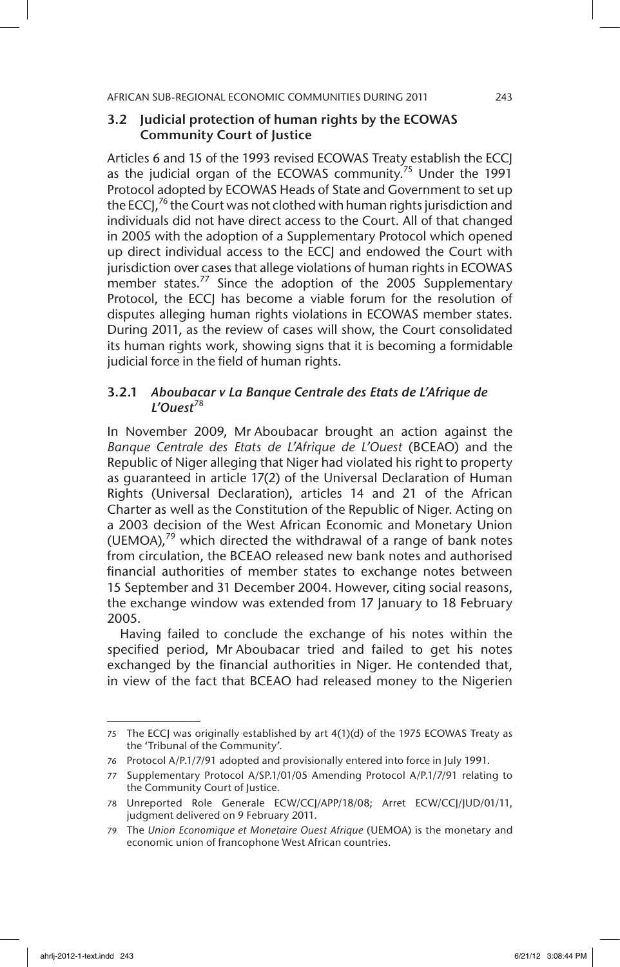# 3.2 Judicial protection of human rights by the ECOWAS Community Court of Justice

Articles 6 and 15 of the 1993 revised ECOWAS Treaty establish the ECCJ as the judicial organ of the ECOWAS community.<sup>75</sup> Under the 1991 Protocol adopted by ECOWAS Heads of State and Government to set up the ECCJ,<sup>76</sup> the Court was not clothed with human rights jurisdiction and individuals did not have direct access to the Court. All of that changed in 2005 with the adoption of a Supplementary Protocol which opened up direct individual access to the ECCJ and endowed the Court with jurisdiction over cases that allege violations of human rights in ECOWAS member states.<sup>77</sup> Since the adoption of the 2005 Supplementary Protocol, the ECCJ has become a viable forum for the resolution of disputes alleging human rights violations in ECOWAS member states. During 2011, as the review of cases will show, the Court consolidated its human rights work, showing signs that it is becoming a formidable judicial force in the field of human rights.

# 3.2.1 *Aboubacar v La Banque Centrale des Etats de L'Afrique de L'Ouest*<sup>78</sup>

In November 2009, Mr Aboubacar brought an action against the *Banque Centrale des Etats de L'Afrique de L'Ouest* (BCEAO) and the Republic of Niger alleging that Niger had violated his right to property as guaranteed in article 17(2) of the Universal Declaration of Human Rights (Universal Declaration), articles 14 and 21 of the African Charter as well as the Constitution of the Republic of Niger. Acting on a 2003 decision of the West African Economic and Monetary Union (UEMOA), $^{79}$  which directed the withdrawal of a range of bank notes from circulation, the BCEAO released new bank notes and authorised financial authorities of member states to exchange notes between 15 September and 31 December 2004. However, citing social reasons, the exchange window was extended from 17 January to 18 February 2005.

Having failed to conclude the exchange of his notes within the specified period, Mr Aboubacar tried and failed to get his notes exchanged by the financial authorities in Niger. He contended that, in view of the fact that BCEAO had released money to the Nigerien

<sup>75</sup> The ECCJ was originally established by art 4(1)(d) of the 1975 ECOWAS Treaty as the 'Tribunal of the Community'.

<sup>76</sup> Protocol A/P.1/7/91 adopted and provisionally entered into force in July 1991.

<sup>77</sup> Supplementary Protocol A/SP.1/01/05 Amending Protocol A/P.1/7/91 relating to the Community Court of Justice.

<sup>78</sup> Unreported Role Generale ECW/CCJ/APP/18/08; Arret ECW/CCJ/JUD/01/11, judgment delivered on 9 February 2011.

<sup>79</sup> The *Union Economique et Monetaire Ouest Afrique* (UEMOA) is the monetary and economic union of francophone West African countries.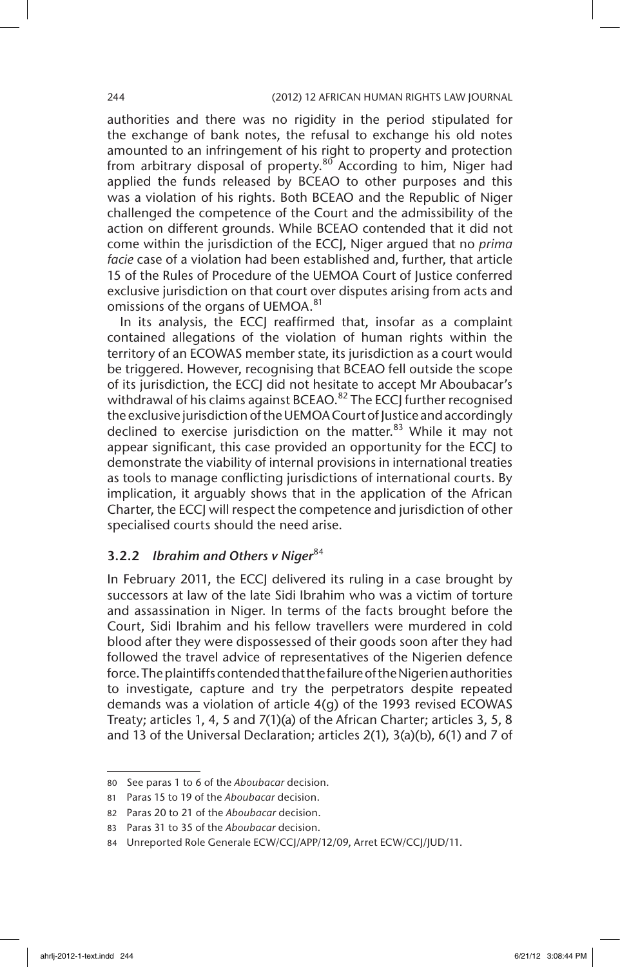authorities and there was no rigidity in the period stipulated for the exchange of bank notes, the refusal to exchange his old notes amounted to an infringement of his right to property and protection from arbitrary disposal of property. $80^\circ$  According to him, Niger had applied the funds released by BCEAO to other purposes and this was a violation of his rights. Both BCEAO and the Republic of Niger challenged the competence of the Court and the admissibility of the action on different grounds. While BCEAO contended that it did not come within the jurisdiction of the ECCJ, Niger argued that no *prima facie* case of a violation had been established and, further, that article 15 of the Rules of Procedure of the UEMOA Court of Justice conferred exclusive jurisdiction on that court over disputes arising from acts and omissions of the organs of UEMOA.<sup>81</sup>

In its analysis, the ECCJ reaffirmed that, insofar as a complaint contained allegations of the violation of human rights within the territory of an ECOWAS member state, its jurisdiction as a court would be triggered. However, recognising that BCEAO fell outside the scope of its jurisdiction, the ECCJ did not hesitate to accept Mr Aboubacar's withdrawal of his claims against BCEAO.<sup>82</sup> The ECCJ further recognised the exclusive jurisdiction of the UEMOA Court of Justice and accordingly declined to exercise jurisdiction on the matter. $83$  While it may not appear significant, this case provided an opportunity for the ECCJ to demonstrate the viability of internal provisions in international treaties as tools to manage conflicting jurisdictions of international courts. By implication, it arguably shows that in the application of the African Charter, the ECCJ will respect the competence and jurisdiction of other specialised courts should the need arise.

# 3.2.2 *Ibrahim and Others v Niger*<sup>84</sup>

In February 2011, the ECCJ delivered its ruling in a case brought by successors at law of the late Sidi Ibrahim who was a victim of torture and assassination in Niger. In terms of the facts brought before the Court, Sidi Ibrahim and his fellow travellers were murdered in cold blood after they were dispossessed of their goods soon after they had followed the travel advice of representatives of the Nigerien defence force. The plaintiffs contended that the failure of the Nigerien authorities to investigate, capture and try the perpetrators despite repeated demands was a violation of article 4(g) of the 1993 revised ECOWAS Treaty; articles 1, 4, 5 and 7(1)(a) of the African Charter; articles 3, 5, 8 and 13 of the Universal Declaration; articles 2(1), 3(a)(b), 6(1) and 7 of

<sup>80</sup> See paras 1 to 6 of the *Aboubacar* decision.

<sup>81</sup> Paras 15 to 19 of the *Aboubacar* decision.

<sup>82</sup> Paras 20 to 21 of the *Aboubacar* decision.

<sup>83</sup> Paras 31 to 35 of the *Aboubacar* decision.

<sup>84</sup> Unreported Role Generale ECW/CCJ/APP/12/09, Arret ECW/CCJ/JUD/11.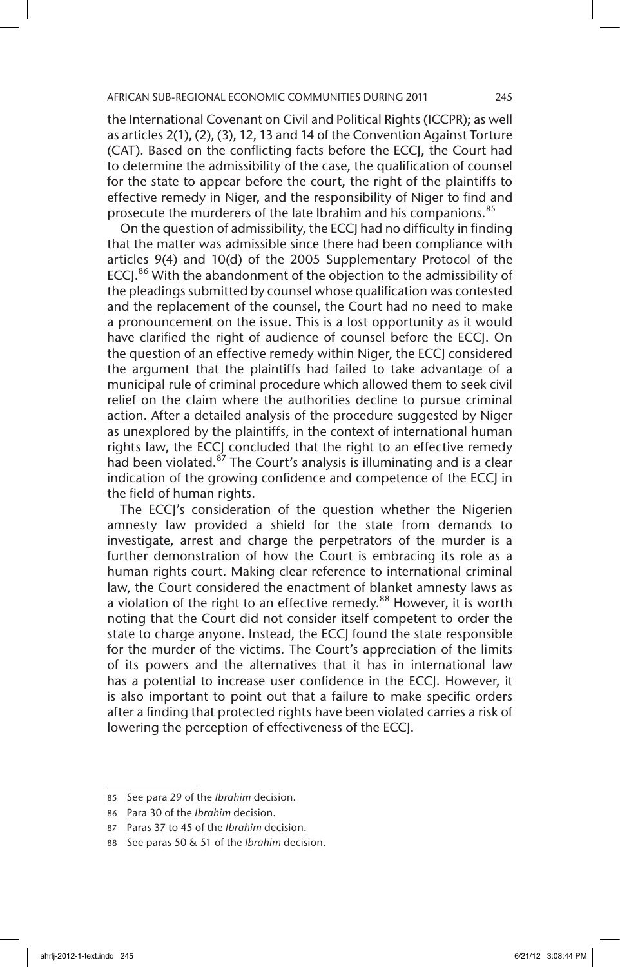the International Covenant on Civil and Political Rights (ICCPR); as well as articles 2(1), (2), (3), 12, 13 and 14 of the Convention Against Torture (CAT). Based on the conflicting facts before the ECCJ, the Court had to determine the admissibility of the case, the qualification of counsel for the state to appear before the court, the right of the plaintiffs to effective remedy in Niger, and the responsibility of Niger to find and prosecute the murderers of the late Ibrahim and his companions.<sup>85</sup>

On the question of admissibility, the ECCJ had no difficulty in finding that the matter was admissible since there had been compliance with articles 9(4) and 10(d) of the 2005 Supplementary Protocol of the ECCJ.<sup>86</sup> With the abandonment of the objection to the admissibility of the pleadings submitted by counsel whose qualification was contested and the replacement of the counsel, the Court had no need to make a pronouncement on the issue. This is a lost opportunity as it would have clarified the right of audience of counsel before the ECCJ. On the question of an effective remedy within Niger, the ECCJ considered the argument that the plaintiffs had failed to take advantage of a municipal rule of criminal procedure which allowed them to seek civil relief on the claim where the authorities decline to pursue criminal action. After a detailed analysis of the procedure suggested by Niger as unexplored by the plaintiffs, in the context of international human rights law, the ECCJ concluded that the right to an effective remedy had been violated.<sup>87</sup> The Court's analysis is illuminating and is a clear indication of the growing confidence and competence of the ECCJ in the field of human rights.

The ECCJ's consideration of the question whether the Nigerien amnesty law provided a shield for the state from demands to investigate, arrest and charge the perpetrators of the murder is a further demonstration of how the Court is embracing its role as a human rights court. Making clear reference to international criminal law, the Court considered the enactment of blanket amnesty laws as a violation of the right to an effective remedy.<sup>88</sup> However, it is worth noting that the Court did not consider itself competent to order the state to charge anyone. Instead, the ECCJ found the state responsible for the murder of the victims. The Court's appreciation of the limits of its powers and the alternatives that it has in international law has a potential to increase user confidence in the ECCJ. However, it is also important to point out that a failure to make specific orders after a finding that protected rights have been violated carries a risk of lowering the perception of effectiveness of the ECCJ.

<sup>85</sup> See para 29 of the *Ibrahim* decision.

<sup>86</sup> Para 30 of the *Ibrahim* decision.

<sup>87</sup> Paras 37 to 45 of the *Ibrahim* decision.

<sup>88</sup> See paras 50 & 51 of the *Ibrahim* decision.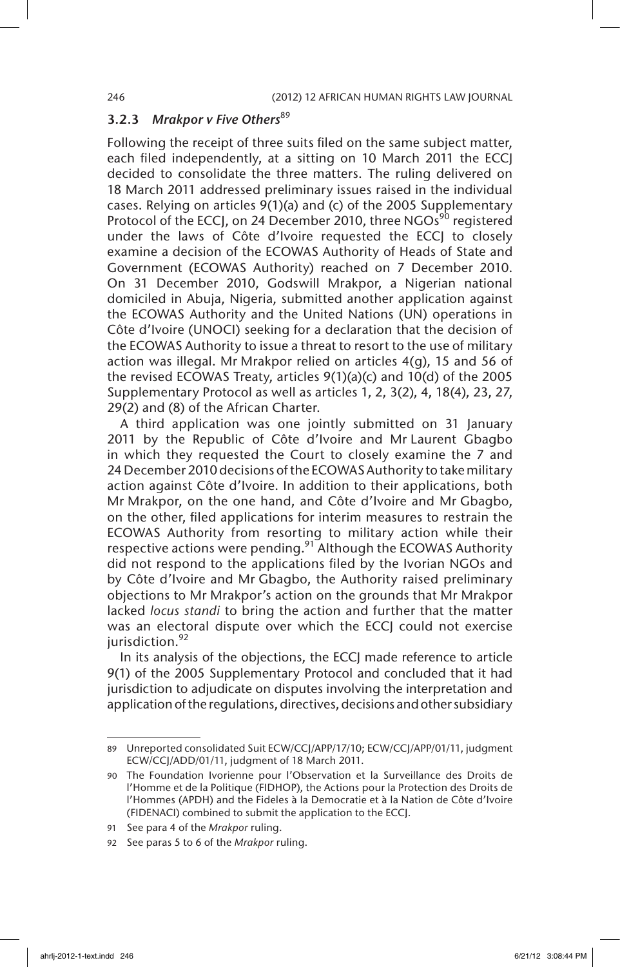# 3.2.3 *Mrakpor v Five Others*<sup>89</sup>

Following the receipt of three suits filed on the same subject matter, each filed independently, at a sitting on 10 March 2011 the ECCJ decided to consolidate the three matters. The ruling delivered on 18 March 2011 addressed preliminary issues raised in the individual cases. Relying on articles 9(1)(a) and (c) of the 2005 Supplementary Protocol of the ECCJ, on 24 December 2010, three NGOs<sup>90</sup> registered under the laws of Côte d'Ivoire requested the ECCJ to closely examine a decision of the ECOWAS Authority of Heads of State and Government (ECOWAS Authority) reached on 7 December 2010. On 31 December 2010, Godswill Mrakpor, a Nigerian national domiciled in Abuja, Nigeria, submitted another application against the ECOWAS Authority and the United Nations (UN) operations in Côte d'Ivoire (UNOCI) seeking for a declaration that the decision of the ECOWAS Authority to issue a threat to resort to the use of military action was illegal. Mr Mrakpor relied on articles 4(g), 15 and 56 of the revised ECOWAS Treaty, articles 9(1)(a)(c) and 10(d) of the 2005 Supplementary Protocol as well as articles 1, 2, 3(2), 4, 18(4), 23, 27, 29(2) and (8) of the African Charter.

A third application was one jointly submitted on 31 January 2011 by the Republic of Côte d'Ivoire and Mr Laurent Gbagbo in which they requested the Court to closely examine the 7 and 24 December 2010 decisions of the ECOWAS Authority to take military action against Côte d'Ivoire. In addition to their applications, both Mr Mrakpor, on the one hand, and Côte d'Ivoire and Mr Gbagbo, on the other, filed applications for interim measures to restrain the ECOWAS Authority from resorting to military action while their respective actions were pending.<sup>91</sup> Although the ECOWAS Authority did not respond to the applications filed by the Ivorian NGOs and by Côte d'Ivoire and Mr Gbagbo, the Authority raised preliminary objections to Mr Mrakpor's action on the grounds that Mr Mrakpor lacked *locus standi* to bring the action and further that the matter was an electoral dispute over which the ECCJ could not exercise jurisdiction.<sup>92</sup>

In its analysis of the objections, the ECCJ made reference to article 9(1) of the 2005 Supplementary Protocol and concluded that it had jurisdiction to adjudicate on disputes involving the interpretation and application of the regulations, directives, decisions and other subsidiary

<sup>89</sup> Unreported consolidated Suit ECW/CCJ/APP/17/10; ECW/CCJ/APP/01/11, judgment ECW/CCJ/ADD/01/11, judgment of 18 March 2011.

<sup>90</sup> The Foundation Ivorienne pour l'Observation et la Surveillance des Droits de l'Homme et de la Politique (FIDHOP), the Actions pour la Protection des Droits de l'Hommes (APDH) and the Fideles à la Democratie et à la Nation de Côte d'Ivoire (FIDENACI) combined to submit the application to the ECCJ.

<sup>91</sup> See para 4 of the *Mrakpor* ruling.

<sup>92</sup> See paras 5 to 6 of the *Mrakpor* ruling.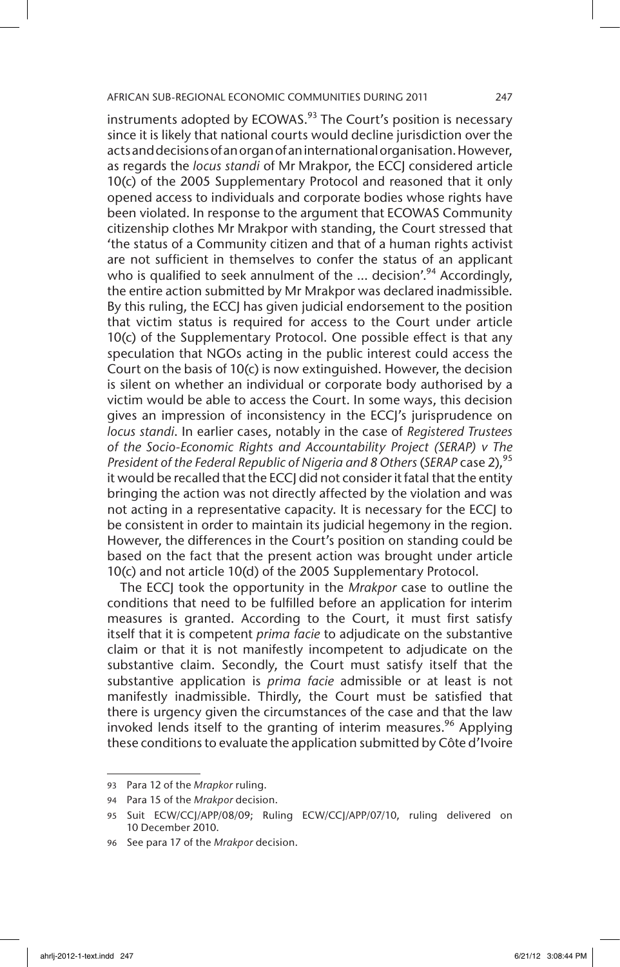instruments adopted by ECOWAS. $93$  The Court's position is necessary since it is likely that national courts would decline jurisdiction over the acts and decisions of an organ of an international organisation. However, as regards the *locus standi* of Mr Mrakpor, the ECCJ considered article 10(c) of the 2005 Supplementary Protocol and reasoned that it only opened access to individuals and corporate bodies whose rights have been violated. In response to the argument that ECOWAS Community citizenship clothes Mr Mrakpor with standing, the Court stressed that 'the status of a Community citizen and that of a human rights activist are not sufficient in themselves to confer the status of an applicant who is qualified to seek annulment of the  $\ldots$  decision'.<sup>94</sup> Accordingly, the entire action submitted by Mr Mrakpor was declared inadmissible. By this ruling, the ECCJ has given judicial endorsement to the position that victim status is required for access to the Court under article 10(c) of the Supplementary Protocol. One possible effect is that any speculation that NGOs acting in the public interest could access the Court on the basis of 10(c) is now extinguished. However, the decision is silent on whether an individual or corporate body authorised by a victim would be able to access the Court. In some ways, this decision gives an impression of inconsistency in the ECCJ's jurisprudence on *locus standi*. In earlier cases, notably in the case of *Registered Trustees of the Socio-Economic Rights and Accountability Project (SERAP) v The President of the Federal Republic of Nigeria and 8 Others (SERAP case 2)*,<sup>95</sup> it would be recalled that the ECCJ did not consider it fatal that the entity bringing the action was not directly affected by the violation and was not acting in a representative capacity. It is necessary for the ECCJ to be consistent in order to maintain its judicial hegemony in the region. However, the differences in the Court's position on standing could be based on the fact that the present action was brought under article 10(c) and not article 10(d) of the 2005 Supplementary Protocol.

The ECCJ took the opportunity in the *Mrakpor* case to outline the conditions that need to be fulfilled before an application for interim measures is granted. According to the Court, it must first satisfy itself that it is competent *prima facie* to adjudicate on the substantive claim or that it is not manifestly incompetent to adjudicate on the substantive claim. Secondly, the Court must satisfy itself that the substantive application is *prima facie* admissible or at least is not manifestly inadmissible. Thirdly, the Court must be satisfied that there is urgency given the circumstances of the case and that the law invoked lends itself to the granting of interim measures.<sup>96</sup> Applying these conditions to evaluate the application submitted by Côte d'Ivoire

<sup>93</sup> Para 12 of the *Mrapkor* ruling.

<sup>94</sup> Para 15 of the *Mrakpor* decision.

<sup>95</sup> Suit ECW/CCJ/APP/08/09; Ruling ECW/CCJ/APP/07/10, ruling delivered on 10 December 2010.

<sup>96</sup> See para 17 of the *Mrakpor* decision.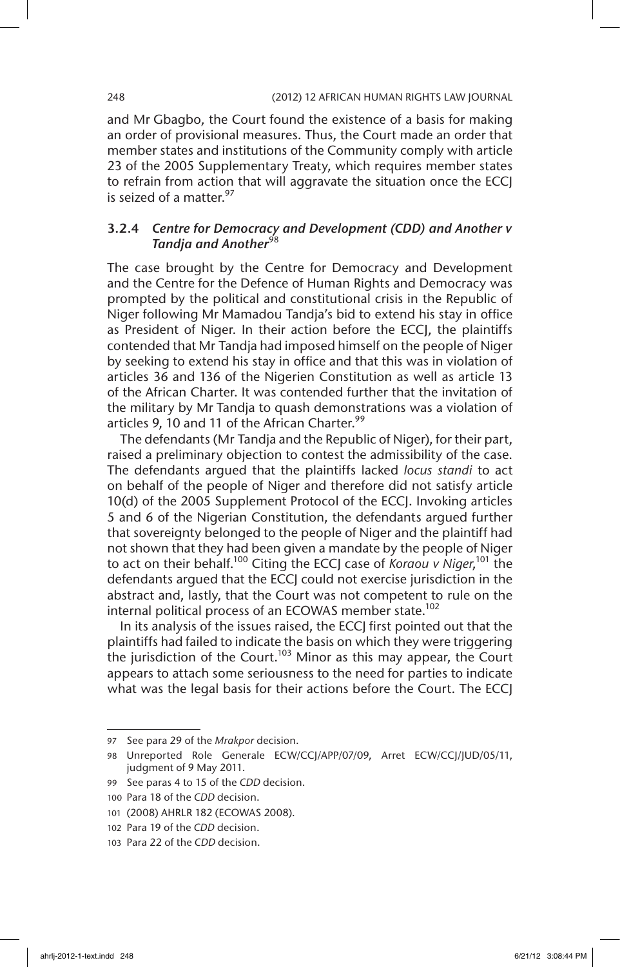and Mr Gbagbo, the Court found the existence of a basis for making an order of provisional measures. Thus, the Court made an order that member states and institutions of the Community comply with article 23 of the 2005 Supplementary Treaty, which requires member states to refrain from action that will aggravate the situation once the ECCJ is seized of a matter.<sup>97</sup>

# 3.2.4 *Centre for Democracy and Development (CDD) and Another v*  **Tandja and Another<sup>98</sup>**

The case brought by the Centre for Democracy and Development and the Centre for the Defence of Human Rights and Democracy was prompted by the political and constitutional crisis in the Republic of Niger following Mr Mamadou Tandja's bid to extend his stay in office as President of Niger. In their action before the ECCJ, the plaintiffs contended that Mr Tandja had imposed himself on the people of Niger by seeking to extend his stay in office and that this was in violation of articles 36 and 136 of the Nigerien Constitution as well as article 13 of the African Charter. It was contended further that the invitation of the military by Mr Tandja to quash demonstrations was a violation of articles 9, 10 and 11 of the African Charter.<sup>99</sup>

The defendants (Mr Tandja and the Republic of Niger), for their part, raised a preliminary objection to contest the admissibility of the case. The defendants argued that the plaintiffs lacked *locus standi* to act on behalf of the people of Niger and therefore did not satisfy article 10(d) of the 2005 Supplement Protocol of the ECCJ. Invoking articles 5 and 6 of the Nigerian Constitution, the defendants argued further that sovereignty belonged to the people of Niger and the plaintiff had not shown that they had been given a mandate by the people of Niger to act on their behalf.100 Citing the ECCJ case of *Koraou v Niger*, 101 the defendants argued that the ECCJ could not exercise jurisdiction in the abstract and, lastly, that the Court was not competent to rule on the internal political process of an ECOWAS member state.<sup>102</sup>

In its analysis of the issues raised, the ECCJ first pointed out that the plaintiffs had failed to indicate the basis on which they were triggering the jurisdiction of the Court.<sup>103</sup> Minor as this may appear, the Court appears to attach some seriousness to the need for parties to indicate what was the legal basis for their actions before the Court. The ECC

<sup>97</sup> See para 29 of the *Mrakpor* decision.

<sup>98</sup> Unreported Role Generale ECW/CCJ/APP/07/09, Arret ECW/CCJ/JUD/05/11, judgment of 9 May 2011.

<sup>99</sup> See paras 4 to 15 of the *CDD* decision.

<sup>100</sup> Para 18 of the *CDD* decision.

<sup>101</sup> (2008) AHRLR 182 (ECOWAS 2008).

<sup>102</sup> Para 19 of the *CDD* decision.

<sup>103</sup> Para 22 of the *CDD* decision.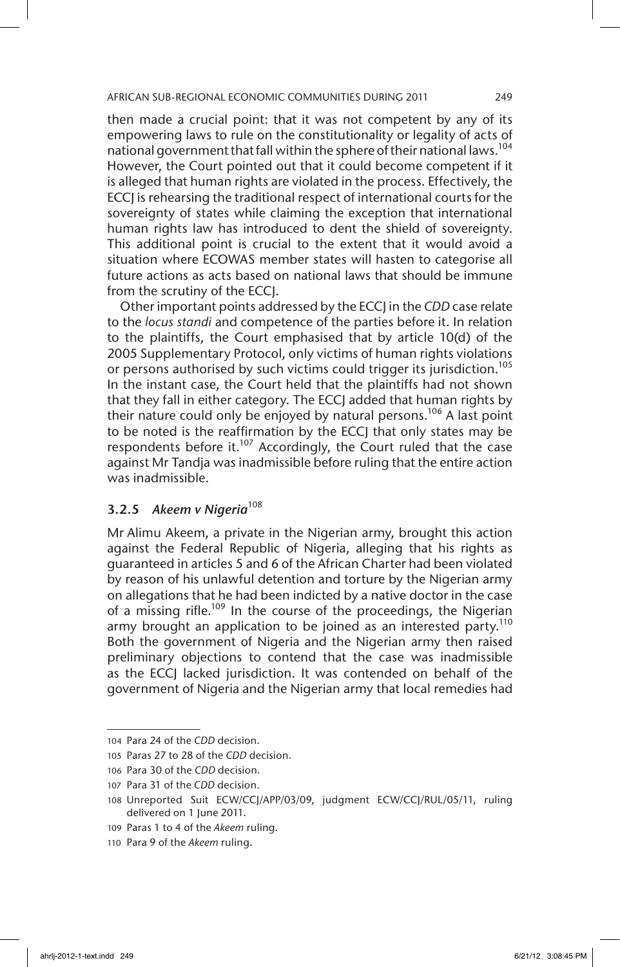then made a crucial point: that it was not competent by any of its empowering laws to rule on the constitutionality or legality of acts of national government that fall within the sphere of their national laws.<sup>104</sup> However, the Court pointed out that it could become competent if it is alleged that human rights are violated in the process. Effectively, the ECCJ is rehearsing the traditional respect of international courts for the sovereignty of states while claiming the exception that international human rights law has introduced to dent the shield of sovereignty. This additional point is crucial to the extent that it would avoid a situation where ECOWAS member states will hasten to categorise all future actions as acts based on national laws that should be immune from the scrutiny of the ECCJ.

Other important points addressed by the ECCJ in the *CDD* case relate to the *locus standi* and competence of the parties before it. In relation to the plaintiffs, the Court emphasised that by article 10(d) of the 2005 Supplementary Protocol, only victims of human rights violations or persons authorised by such victims could trigger its jurisdiction.<sup>105</sup> In the instant case, the Court held that the plaintiffs had not shown that they fall in either category. The ECCJ added that human rights by their nature could only be enjoyed by natural persons.<sup>106</sup> A last point to be noted is the reaffirmation by the ECCJ that only states may be respondents before it.<sup>107</sup> Accordingly, the Court ruled that the case against Mr Tandja was inadmissible before ruling that the entire action was inadmissible.

# 3.2.5 *Akeem v Nigeria*<sup>108</sup>

Mr Alimu Akeem, a private in the Nigerian army, brought this action against the Federal Republic of Nigeria, alleging that his rights as guaranteed in articles 5 and 6 of the African Charter had been violated by reason of his unlawful detention and torture by the Nigerian army on allegations that he had been indicted by a native doctor in the case of a missing rifle.<sup>109</sup> In the course of the proceedings, the Nigerian army brought an application to be joined as an interested party.<sup>110</sup> Both the government of Nigeria and the Nigerian army then raised preliminary objections to contend that the case was inadmissible as the ECCJ lacked jurisdiction. It was contended on behalf of the government of Nigeria and the Nigerian army that local remedies had

<sup>104</sup> Para 24 of the *CDD* decision.

<sup>105</sup> Paras 27 to 28 of the *CDD* decision.

<sup>106</sup> Para 30 of the *CDD* decision.

<sup>107</sup> Para 31 of the *CDD* decision.

<sup>108</sup> Unreported Suit ECW/CCJ/APP/03/09, judgment ECW/CCJ/RUL/05/11, ruling delivered on 1 June 2011.

<sup>109</sup> Paras 1 to 4 of the *Akeem* ruling.

<sup>110</sup> Para 9 of the *Akeem* ruling.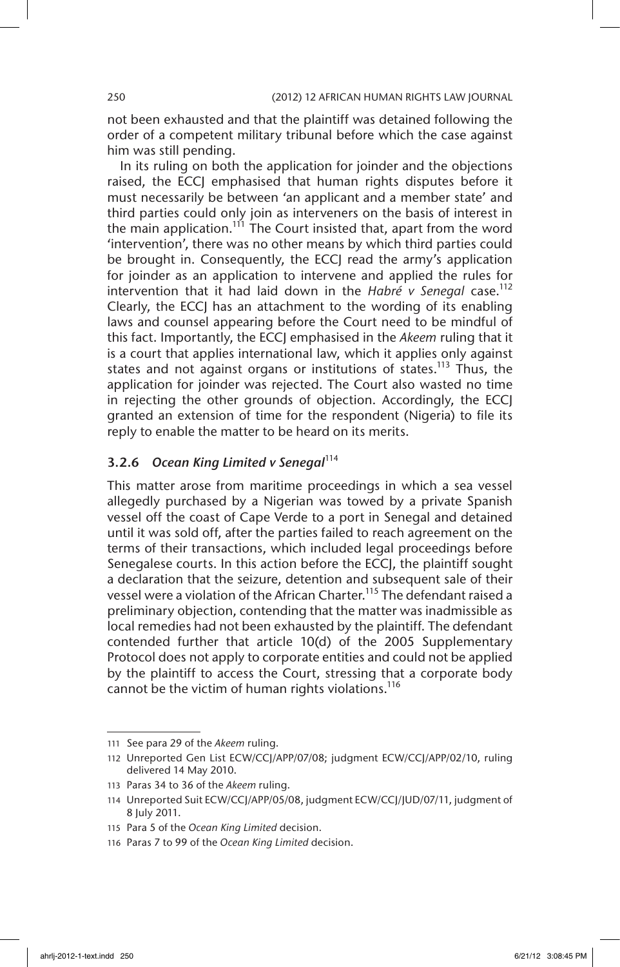not been exhausted and that the plaintiff was detained following the order of a competent military tribunal before which the case against him was still pending.

In its ruling on both the application for joinder and the objections raised, the ECCJ emphasised that human rights disputes before it must necessarily be between 'an applicant and a member state' and third parties could only join as interveners on the basis of interest in the main application.<sup>111</sup> The Court insisted that, apart from the word 'intervention', there was no other means by which third parties could be brought in. Consequently, the ECCJ read the army's application for joinder as an application to intervene and applied the rules for intervention that it had laid down in the *Habré v Senegal* case.<sup>112</sup> Clearly, the ECCJ has an attachment to the wording of its enabling laws and counsel appearing before the Court need to be mindful of this fact. Importantly, the ECCJ emphasised in the *Akeem* ruling that it is a court that applies international law, which it applies only against states and not against organs or institutions of states.<sup>113</sup> Thus, the application for joinder was rejected. The Court also wasted no time in rejecting the other grounds of objection. Accordingly, the ECCJ granted an extension of time for the respondent (Nigeria) to file its reply to enable the matter to be heard on its merits.

# 3.2.6 *Ocean King Limited v Senegal*<sup>114</sup>

This matter arose from maritime proceedings in which a sea vessel allegedly purchased by a Nigerian was towed by a private Spanish vessel off the coast of Cape Verde to a port in Senegal and detained until it was sold off, after the parties failed to reach agreement on the terms of their transactions, which included legal proceedings before Senegalese courts. In this action before the ECCJ, the plaintiff sought a declaration that the seizure, detention and subsequent sale of their vessel were a violation of the African Charter.<sup>115</sup> The defendant raised a preliminary objection, contending that the matter was inadmissible as local remedies had not been exhausted by the plaintiff. The defendant contended further that article 10(d) of the 2005 Supplementary Protocol does not apply to corporate entities and could not be applied by the plaintiff to access the Court, stressing that a corporate body cannot be the victim of human rights violations.<sup>116</sup>

<sup>111</sup> See para 29 of the *Akeem* ruling.

<sup>112</sup> Unreported Gen List ECW/CCJ/APP/07/08; judgment ECW/CCJ/APP/02/10, ruling delivered 14 May 2010.

<sup>113</sup> Paras 34 to 36 of the *Akeem* ruling.

<sup>114</sup> Unreported Suit ECW/CCJ/APP/05/08, judgment ECW/CCJ/JUD/07/11, judgment of 8 July 2011.

<sup>115</sup> Para 5 of the *Ocean King Limited* decision.

<sup>116</sup> Paras 7 to 99 of the *Ocean King Limited* decision.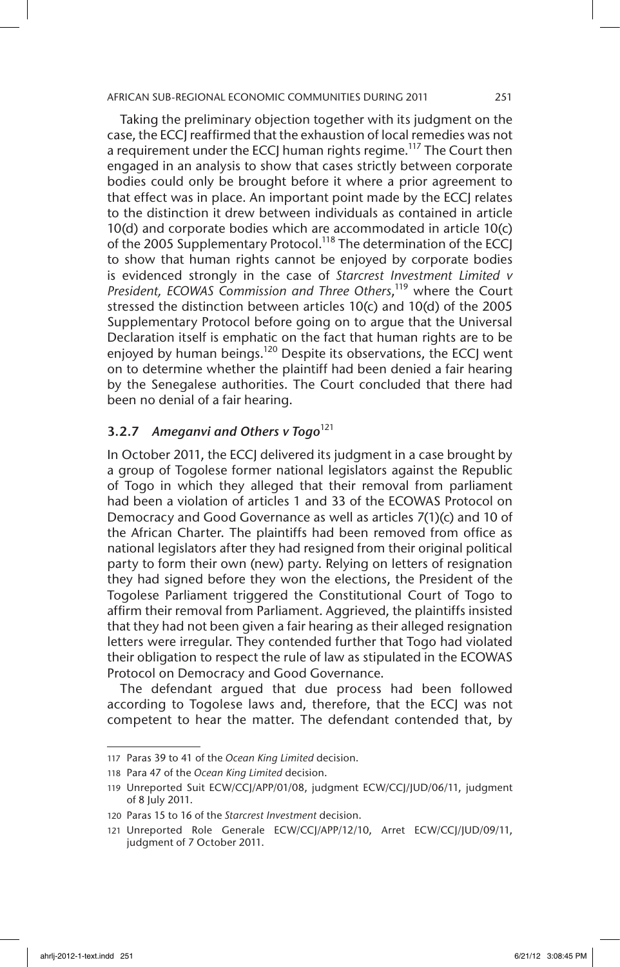Taking the preliminary objection together with its judgment on the case, the ECCJ reaffirmed that the exhaustion of local remedies was not a requirement under the ECCJ human rights regime.<sup>117</sup> The Court then engaged in an analysis to show that cases strictly between corporate bodies could only be brought before it where a prior agreement to that effect was in place. An important point made by the ECCJ relates to the distinction it drew between individuals as contained in article 10(d) and corporate bodies which are accommodated in article 10(c) of the 2005 Supplementary Protocol.<sup>118</sup> The determination of the ECCJ to show that human rights cannot be enjoyed by corporate bodies is evidenced strongly in the case of *Starcrest Investment Limited v*  President, ECOWAS Commission and Three Others,<sup>119</sup> where the Court stressed the distinction between articles 10(c) and 10(d) of the 2005 Supplementary Protocol before going on to argue that the Universal Declaration itself is emphatic on the fact that human rights are to be enjoyed by human beings.<sup>120</sup> Despite its observations, the ECCJ went on to determine whether the plaintiff had been denied a fair hearing by the Senegalese authorities. The Court concluded that there had been no denial of a fair hearing.

# 3.2.7 Ameganvi and Others v Togo<sup>121</sup>

In October 2011, the ECCJ delivered its judgment in a case brought by a group of Togolese former national legislators against the Republic of Togo in which they alleged that their removal from parliament had been a violation of articles 1 and 33 of the ECOWAS Protocol on Democracy and Good Governance as well as articles 7(1)(c) and 10 of the African Charter. The plaintiffs had been removed from office as national legislators after they had resigned from their original political party to form their own (new) party. Relying on letters of resignation they had signed before they won the elections, the President of the Togolese Parliament triggered the Constitutional Court of Togo to affirm their removal from Parliament. Aggrieved, the plaintiffs insisted that they had not been given a fair hearing as their alleged resignation letters were irregular. They contended further that Togo had violated their obligation to respect the rule of law as stipulated in the ECOWAS Protocol on Democracy and Good Governance.

The defendant argued that due process had been followed according to Togolese laws and, therefore, that the ECCJ was not competent to hear the matter. The defendant contended that, by

<sup>117</sup> Paras 39 to 41 of the *Ocean King Limited* decision.

<sup>118</sup> Para 47 of the *Ocean King Limited* decision.

<sup>119</sup> Unreported Suit ECW/CCJ/APP/01/08, judgment ECW/CCJ/JUD/06/11, judgment of 8 July 2011.

<sup>120</sup> Paras 15 to 16 of the *Starcrest Investment* decision.

<sup>121</sup> Unreported Role Generale ECW/CCJ/APP/12/10, Arret ECW/CCJ/JUD/09/11, judgment of 7 October 2011.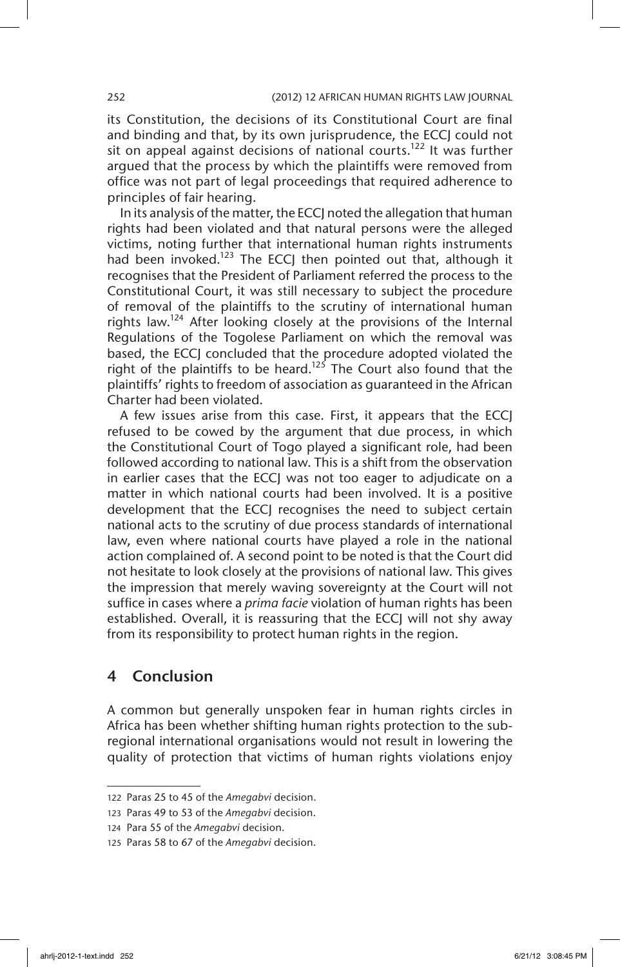its Constitution, the decisions of its Constitutional Court are final and binding and that, by its own jurisprudence, the ECCJ could not sit on appeal against decisions of national courts.<sup>122</sup> It was further argued that the process by which the plaintiffs were removed from office was not part of legal proceedings that required adherence to principles of fair hearing.

In its analysis of the matter, the ECCJ noted the allegation that human rights had been violated and that natural persons were the alleged victims, noting further that international human rights instruments had been invoked.<sup>123</sup> The ECCJ then pointed out that, although it recognises that the President of Parliament referred the process to the Constitutional Court, it was still necessary to subject the procedure of removal of the plaintiffs to the scrutiny of international human rights law.<sup>124</sup> After looking closely at the provisions of the Internal Regulations of the Togolese Parliament on which the removal was based, the ECCJ concluded that the procedure adopted violated the right of the plaintiffs to be heard.<sup>125</sup> The Court also found that the plaintiffs' rights to freedom of association as guaranteed in the African Charter had been violated.

A few issues arise from this case. First, it appears that the ECCJ refused to be cowed by the argument that due process, in which the Constitutional Court of Togo played a significant role, had been followed according to national law. This is a shift from the observation in earlier cases that the ECCJ was not too eager to adjudicate on a matter in which national courts had been involved. It is a positive development that the ECCJ recognises the need to subject certain national acts to the scrutiny of due process standards of international law, even where national courts have played a role in the national action complained of. A second point to be noted is that the Court did not hesitate to look closely at the provisions of national law. This gives the impression that merely waving sovereignty at the Court will not suffice in cases where a *prima facie* violation of human rights has been established. Overall, it is reassuring that the ECCJ will not shy away from its responsibility to protect human rights in the region.

# 4 Conclusion

A common but generally unspoken fear in human rights circles in Africa has been whether shifting human rights protection to the subregional international organisations would not result in lowering the quality of protection that victims of human rights violations enjoy

<sup>122</sup> Paras 25 to 45 of the *Amegabvi* decision.

<sup>123</sup> Paras 49 to 53 of the *Amegabvi* decision.

<sup>124</sup> Para 55 of the *Amegabvi* decision.

<sup>125</sup> Paras 58 to 67 of the *Amegabvi* decision.